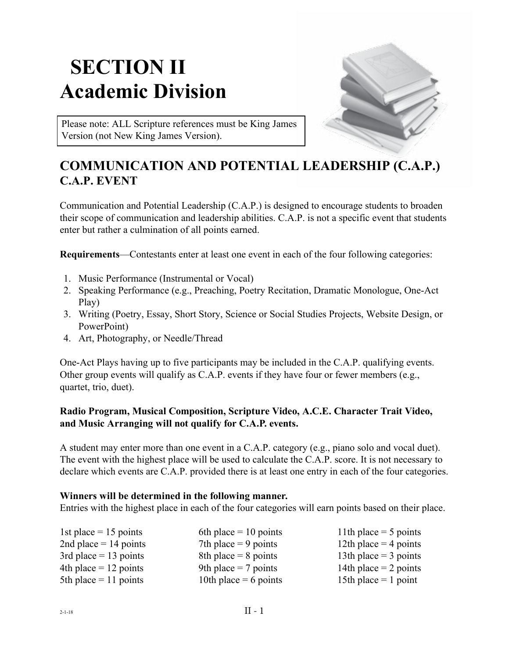# **SECTION II Academic Division**



Please note: ALL Scripture references must be King James Version (not New King James Version).

## **COMMUNICATION AND POTENTIAL LEADERSHIP (C.A.P.) C.A.P. EVENT**

Communication and Potential Leadership (C.A.P.) is designed to encourage students to broaden their scope of communication and leadership abilities. C.A.P. is not a specific event that students enter but rather a culmination of all points earned.

**Requirements**—Contestants enter at least one event in each of the four following categories:

- 1. Music Performance (Instrumental or Vocal)
- 2. Speaking Performance (e.g., Preaching, Poetry Recitation, Dramatic Monologue, One-Act Play)
- 3. Writing (Poetry, Essay, Short Story, Science or Social Studies Projects, Website Design, or PowerPoint)
- 4. Art, Photography, or Needle/Thread

One-Act Plays having up to five participants may be included in the C.A.P. qualifying events. Other group events will qualify as C.A.P. events if they have four or fewer members (e.g., quartet, trio, duet).

### **Radio Program, Musical Composition, Scripture Video, A.C.E. Character Trait Video, and Music Arranging will not qualify for C.A.P. events.**

A student may enter more than one event in a C.A.P. category (e.g., piano solo and vocal duet). The event with the highest place will be used to calculate the C.A.P. score. It is not necessary to declare which events are C.A.P. provided there is at least one entry in each of the four categories.

### **Winners will be determined in the following manner.**

Entries with the highest place in each of the four categories will earn points based on their place.

| 6th place $= 10$ points | 11th place $=$ 5 points |
|-------------------------|-------------------------|
| 7th place $= 9$ points  | 12th place $=$ 4 points |
| 8th place $= 8$ points  | 13th place $=$ 3 points |
| 9th place $= 7$ points  | 14th place $= 2$ points |
| 10th place = 6 points   | 15th place $=$ 1 point  |
|                         |                         |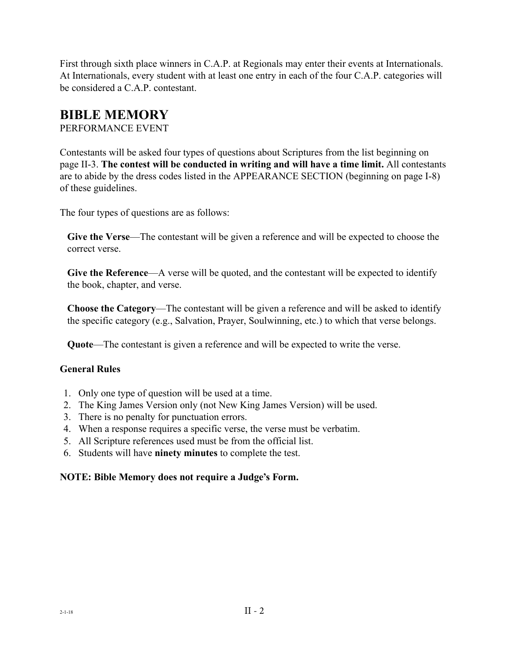First through sixth place winners in C.A.P. at Regionals may enter their events at Internationals. At Internationals, every student with at least one entry in each of the four C.A.P. categories will be considered a C.A.P. contestant.

### **BIBLE MEMORY**

PERFORMANCE EVENT

Contestants will be asked four types of questions about Scriptures from the list beginning on page II-3. **The contest will be conducted in writing and will have a time limit.** All contestants are to abide by the dress codes listed in the APPEARANCE SECTION (beginning on page I-8) of these guidelines.

The four types of questions are as follows:

**Give the Verse**—The contestant will be given a reference and will be expected to choose the correct verse.

**Give the Reference**—A verse will be quoted, and the contestant will be expected to identify the book, chapter, and verse.

**Choose the Category**—The contestant will be given a reference and will be asked to identify the specific category (e.g., Salvation, Prayer, Soulwinning, etc.) to which that verse belongs.

**Quote**—The contestant is given a reference and will be expected to write the verse.

### **General Rules**

- 1. Only one type of question will be used at a time.
- 2. The King James Version only (not New King James Version) will be used.
- 3. There is no penalty for punctuation errors.
- 4. When a response requires a specific verse, the verse must be verbatim.
- 5. All Scripture references used must be from the official list.
- 6. Students will have **ninety minutes** to complete the test.

### **NOTE: Bible Memory does not require a Judge's Form.**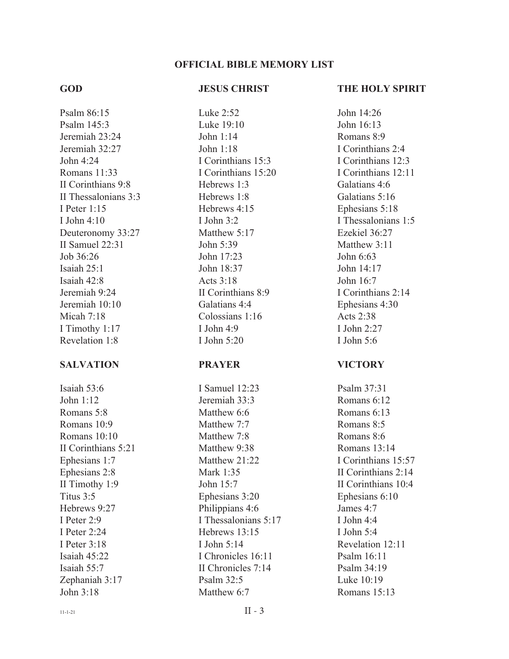#### **OFFICIAL BIBLE MEMORY LIST**

#### **GOD**

#### **JESUS CHRIST**

Psalm 86:15 Psalm 145:3 Jeremiah 23:24 Jeremiah 32:27 John  $4.24$ Romans 11:33 II Corinthians 9:8 II Thessalonians 3:3 I Peter 1:15 I John 4:10 Deuteronomy 33:27 II Samuel 22:31 Job 36:26 Isaiah 25:1 Isaiah 42:8 Jeremiah 9:24 Jeremiah 10:10 Micah 7:18 I Timothy 1:17 Revelation 1:8

#### **SALVATION**

Isaiah 53:6 John  $1:12$ Romans 5:8 Romans 10:9 Romans 10:10 II Corinthians 5:21 Ephesians 1:7 Ephesians 2:8 II Timothy 1:9 Titus 3:5 Hebrews 9:27 I Peter 2:9 I Peter 2:24 I Peter 3:18 Isaiah 45:22 Isaiah 55:7 Zephaniah 3:17 John  $3.18$ 

Luke 2:52 Luke 19:10 John 1:14 John 1:18 I Corinthians 15:3 I Corinthians 15:20 Hebrews 1:3 Hebrews 1:8 Hebrews 4:15 I John 3:2 Matthew 5:17 John  $5.39$ John 17:23 John 18:37 Acts 3:18 II Corinthians 8:9 Galatians 4:4 Colossians 1:16 I John 4:9 I John  $5:20$ 

#### **PRAYER**

I Samuel 12:23 Jeremiah 33:3 Matthew 6:6 Matthew 7.7 Matthew 7:8 Matthew 9:38 Matthew 21:22 Mark 1:35 John 15:7 Ephesians 3:20 Philippians 4:6 I Thessalonians 5:17 Hebrews 13:15 I John 5:14 I Chronicles 16:11 II Chronicles 7:14 Psalm 32:5 Matthew 6:7

#### **THE HOLY SPIRIT**

John 14:26 John 16:13 Romans 8:9 I Corinthians 2:4 I Corinthians 12:3 I Corinthians 12:11 Galatians 4:6 Galatians 5:16 Ephesians 5:18 I Thessalonians 1:5 Ezekiel 36:27 Matthew 3:11 John 6:63 John 14:17 John  $16.7$ I Corinthians 2:14 Ephesians 4:30 Acts 2:38 I John 2:27 I John  $5.6$ 

#### **VICTORY**

Psalm 37:31 Romans 6:12 Romans 6:13 Romans 8:5 Romans 8:6 Romans 13:14 I Corinthians 15:57 II Corinthians 2:14 II Corinthians 10:4 Ephesians 6:10 James 4:7 I John 4:4 I John 5:4 Revelation 12:11 Psalm  $16:11$ Psalm 34:19 Luke 10:19 Romans 15:13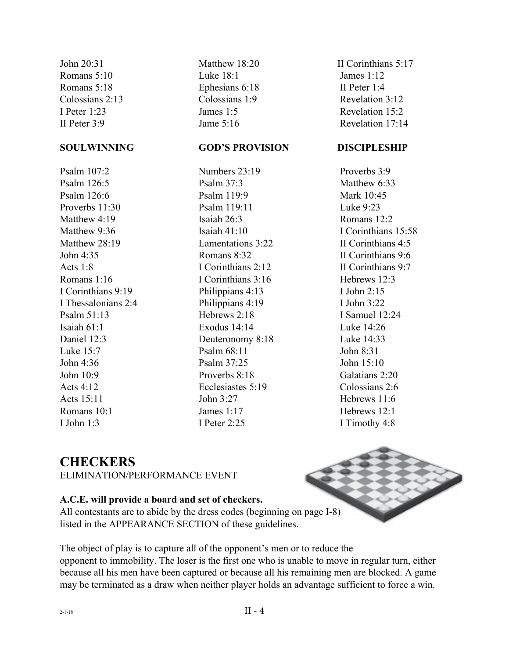John 20:31 Romans 5:10 Romans 5:18 Colossians 2:13 I Peter 1:23 II Peter 3:9

#### **SOULWINNING**

Psalm  $107.2$ Psalm 126:5 Psalm 126:6 Proverbs 11:30 Matthew 4:19 Matthew 9:36 Matthew 28:19 John  $4.35$ Acts  $1.8$ Romans 1:16 I Corinthians 9:19 I Thessalonians 2:4 Psalm 51:13 Isaiah 61:1 Daniel 12:3 Luke 15:7 John  $4.36$ John 10:9 Acts  $4.12$ Acts 15:11 Romans 10:1 I John  $1.3$ 

Matthew 18:20 Luke 18:1 Ephesians 6:18 Colossians 1:9 James 1:5 Jame 5:16

### **GOD'S PROVISION**

Numbers 23:19 Psalm 37:3 Psalm 119:9 Psalm 119:11 Isaiah 26:3 Isaiah  $41 \cdot 10$ Lamentations 3:22 Romans 8:32 I Corinthians 2:12 I Corinthians 3:16 Philippians 4:13 Philippians 4:19 Hebrews 2:18 Exodus 14:14 Deuteronomy 8:18 Psalm 68:11 Psalm 37:25 Proverbs 8:18 Ecclesiastes 5:19 John 3:27 James 1:17 I Peter 2:25

II Corinthians 5:17 James 1:12 II Peter 1:4 Revelation 3:12 Revelation 15:2 Revelation 17:14

#### **DISCIPLESHIP**

 Proverbs 3:9 Matthew 6:33 Mark 10:45 Luke 9:23 Romans 12:2 I Corinthians 15:58 II Corinthians 4:5 II Corinthians 9:6 II Corinthians 9:7 Hebrews 12:3 I John 2:15 I John 3:22 I Samuel 12:24 Luke  $14:26$  Luke 14:33 John 8:31 John  $15:10$  Galatians 2:20 Colossians 2:6 Hebrews 11:6 Hebrews 12:1 I Timothy 4:8

### **CHECKERS**

ELIMINATION/PERFORMANCE EVENT

### **A.C.E. will provide a board and set of checkers.**

All contestants are to abide by the dress codes (beginning on page I-8) listed in the APPEARANCE SECTION of these guidelines.

The object of play is to capture all of the opponent's men or to reduce the opponent to immobility. The loser is the first one who is unable to move in regular turn, either because all his men have been captured or because all his remaining men are blocked. A game may be terminated as a draw when neither player holds an advantage sufficient to force a win.

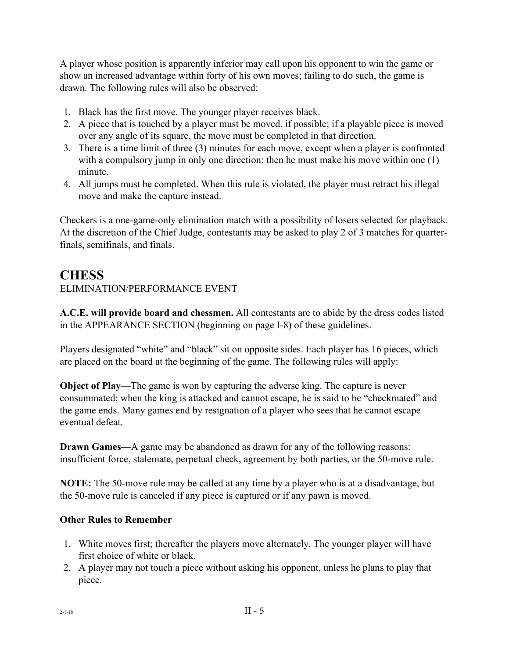A player whose position is apparently inferior may call upon his opponent to win the game or show an increased advantage within forty of his own moves; failing to do such, the game is drawn. The following rules will also be observed:

- 1. Black has the first move. The younger player receives black.
- 2. A piece that is touched by a player must be moved, if possible; if a playable piece is moved over any angle of its square, the move must be completed in that direction.
- 3. There is a time limit of three (3) minutes for each move, except when a player is confronted with a compulsory jump in only one direction; then he must make his move within one (1) minute.
- 4. All jumps must be completed. When this rule is violated, the player must retract his illegal move and make the capture instead.

Checkers is a one-game-only elimination match with a possibility of losers selected for playback. At the discretion of the Chief Judge, contestants may be asked to play 2 of 3 matches for quarterfinals, semifinals, and finals.

### **CHESS**

### ELIMINATION/PERFORMANCE EVENT

**A.C.E. will provide board and chessmen.** All contestants are to abide by the dress codes listed in the APPEARANCE SECTION (beginning on page I-8) of these guidelines.

Players designated "white" and "black" sit on opposite sides. Each player has 16 pieces, which are placed on the board at the beginning of the game. The following rules will apply:

**Object of Play**—The game is won by capturing the adverse king. The capture is never consummated; when the king is attacked and cannot escape, he is said to be "checkmated" and the game ends. Many games end by resignation of a player who sees that he cannot escape eventual defeat.

**Drawn Games—A** game may be abandoned as drawn for any of the following reasons: insufficient force, stalemate, perpetual check, agreement by both parties, or the 50-move rule.

**NOTE:** The 50-move rule may be called at any time by a player who is at a disadvantage, but the 50-move rule is canceled if any piece is captured or if any pawn is moved.

### **Other Rules to Remember**

- 1. White moves first; thereafter the players move alternately. The younger player will have first choice of white or black.
- 2. A player may not touch a piece without asking his opponent, unless he plans to play that piece.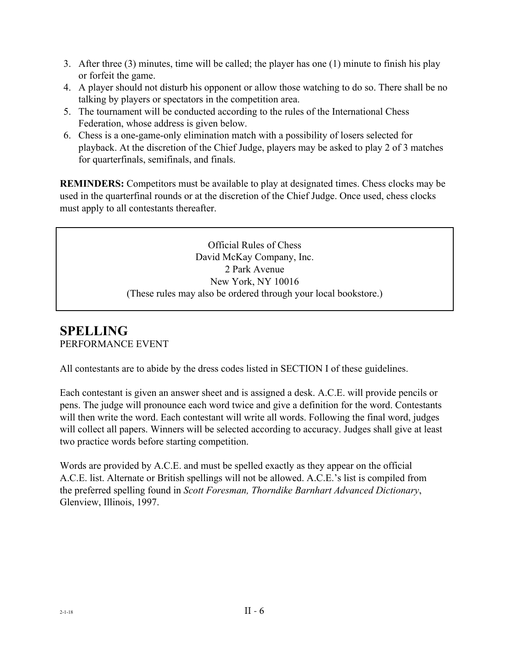- 3. After three (3) minutes, time will be called; the player has one (1) minute to finish his play or forfeit the game.
- 4. A player should not disturb his opponent or allow those watching to do so. There shall be no talking by players or spectators in the competition area.
- 5. The tournament will be conducted according to the rules of the International Chess Federation, whose address is given below.
- 6. Chess is a one-game-only elimination match with a possibility of losers selected for playback. At the discretion of the Chief Judge, players may be asked to play 2 of 3 matches for quarterfinals, semifinals, and finals.

**REMINDERS:** Competitors must be available to play at designated times. Chess clocks may be used in the quarterfinal rounds or at the discretion of the Chief Judge. Once used, chess clocks must apply to all contestants thereafter.

> Official Rules of Chess David McKay Company, Inc. 2 Park Avenue New York, NY 10016 (These rules may also be ordered through your local bookstore.)

### **SPELLING** PERFORMANCE EVENT

All contestants are to abide by the dress codes listed in SECTION I of these guidelines.

Each contestant is given an answer sheet and is assigned a desk. A.C.E. will provide pencils or pens. The judge will pronounce each word twice and give a definition for the word. Contestants will then write the word. Each contestant will write all words. Following the final word, judges will collect all papers. Winners will be selected according to accuracy. Judges shall give at least two practice words before starting competition.

Words are provided by A.C.E. and must be spelled exactly as they appear on the official A.C.E. list. Alternate or British spellings will not be allowed. A.C.E.'s list is compiled from the preferred spelling found in *Scott Foresman, Thorndike Barnhart Advanced Dictionary*, Glenview, Illinois, 1997.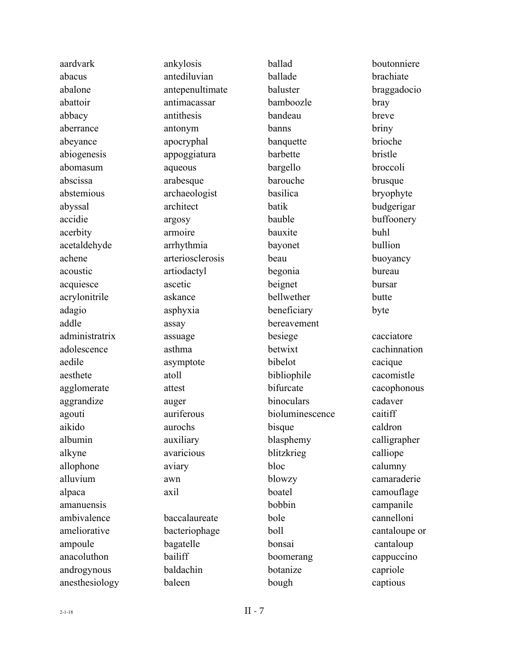| aardvark       | ankylosis        |
|----------------|------------------|
| abacus         | antediluvian     |
| abalone        | antepenultimate  |
| abattoir       | antimacassar     |
| abbacy         | antithesis       |
| aberrance      | antonym          |
| abeyance       | apocryphal       |
| abiogenesis    | appoggiatura     |
| abomasum       | aqueous          |
| abscissa       | arabesque        |
| abstemious     | archaeologist    |
| abyssal        | architect        |
| accidie        | argosy           |
| acerbity       | armoire          |
| acetaldehyde   | arrhythmia       |
| achene         | arteriosclerosis |
| acoustic       | artiodactyl      |
| acquiesce      | ascetic          |
| acrylonitrile  | askance          |
| adagio         | asphyxia         |
| addle          | assay            |
| administratrix | assuage          |
| adolescence    | asthma           |
| aedile         | asymptote        |
| aesthete       | atoll            |
| agglomerate    | attest           |
| aggrandize     | auger            |
| agouti         | auriferous       |
| aikido         | aurochs          |
| albumin        | auxiliary        |
| alkyne         | avaricious       |
| allophone      | aviary           |
| alluvium       | awn              |
| alpaca         | axil             |
| amanuensis     |                  |
| ambivalence    | baccalaureate    |
| ameliorative   | bacteriophage    |
| ampoule        | bagatelle        |
| anacoluthon    | bailiff          |
| androgynous    | baldachin        |
| anesthesiology | baleen           |
|                |                  |

ballad ballade baluster bamboozle bandeau banns banquette barbette bargello barouche basilica batik bauble bauxite bayonet beau begonia beignet bellwether beneficiary bereavement besiege betwixt bibelot bibliophile bifurcate binoculars bioluminescence bisque blasphemy blitzkrieg bloc blowzy boatel bobbin bole boll bonsai boomerang botanize bough

boutonniere brachiate braggadocio bray breve briny brioche bristle broccoli brusque bryophyte budgerigar buffoonery buhl bullion buoyancy bureau bursar butte byte cacciatore cachinnation cacique cacomistle cacophonous cadaver caitiff caldron calligrapher calliope calumny camaraderie camouflage campanile cannelloni cantaloupe or cantaloup cappuccino capriole captious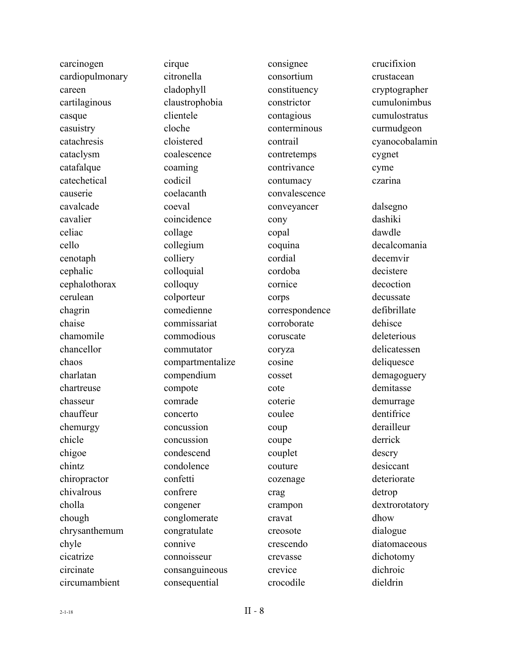| carcinogen      |
|-----------------|
| cardiopulmonary |
| careen          |
| cartilaginous   |
| casque          |
| casuistry       |
| catachresis     |
| cataclysm       |
| catafalque      |
| catechetical    |
| causerie        |
| cavalcade       |
| cavalier        |
| celiac          |
| cello           |
| cenotaph        |
| cephalic        |
| cephalothorax   |
| cerulean        |
| chagrin         |
| chaise          |
| chamomile       |
| chancellor      |
| chaos           |
| charlatan       |
| chartreuse      |
| chasseur        |
| chauffeur       |
| chemurgy        |
| chicle          |
| chigoe          |
| chintz          |
| chiropractor    |
| chivalrous      |
| cholla          |
| chough          |
| chrysanthemum   |
| chyle           |
| cicatrize       |
| circinate       |
| circumambient   |

cirque citronella cladophyll claustrophobia clientele cloche cloistered coalescence coaming codicil coelacanth coeval coincidence collage collegium colliery colloquial colloquy colporteur comedienne commissariat commodious commutator compartmentalize compendium compote comrade concerto concussion concussion condescend condolence confetti confrere congener conglomerate congratulate connive connoisseur consanguineous consequential

consignee consortium constituency constrictor contagious conterminous contrail contretemps contrivance contumacy convalescence conveyancer cony copal coquina cordial cordoba cornice corps correspondence corroborate coruscate coryza cosine cosset cote coterie coulee coup coupe couplet couture cozenage crag crampon cravat creosote crescendo crevasse crevice crocodile

crucifixion crustacean cryptographer cumulonimbus cumulostratus curmudgeon cyanocobalamin cygnet cyme czarina dalsegno dashiki dawdle decalcomania decemvir decistere decoction decussate defibrillate dehisce deleterious delicatessen deliquesce demagoguery demitasse demurrage dentifrice derailleur derrick descry desiccant deteriorate detrop dextrorotatory dhow dialogue diatomaceous dichotomy dichroic dieldrin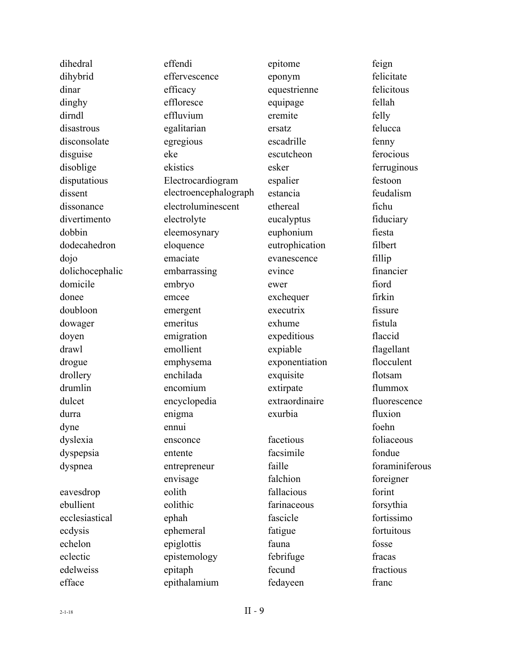dihedral dihybrid dinar dinghy dirndl disastrous disconsolate disguise disoblige disputatious dissent dissonance divertimento dobbin dodecahedron dojo dolichocephalic domicile donee doubloon dowager doyen drawl drogue drollery drumlin dulcet durra dyne dyslexia dyspepsia dyspnea eavesdrop ebullient ecclesiastical ecdysis echelon eclectic edelweiss efface

effendi effervescence efficacy effloresce effluvium egalitarian egregious eke ekistics Electrocardiogram electroencephalograph electroluminescent electrolyte eleemosynary eloquence emaciate embarrassing embryo emcee emergent emeritus emigration emollient emphysema enchilada encomium encyclopedia enigma ennui ensconce entente entrepreneur envisage eolith eolithic ephah ephemeral epiglottis epistemology epitaph epithalamium

epitome eponym equestrienne equipage eremite ersatz escadrille escutcheon esker espalier estancia ethereal eucalyptus euphonium eutrophication evanescence evince ewer exchequer executrix exhume expeditious expiable exponentiation exquisite extirpate extraordinaire exurbia facetious facsimile faille falchion fallacious farinaceous fascicle fatigue fauna febrifuge fecund fedayeen

feign felicitate felicitous fellah felly felucca fenny ferocious ferruginous festoon feudalism fichu fiduciary fiesta filbert fillip financier fiord firkin fissure fistula flaccid flagellant flocculent flotsam flummox fluorescence fluxion foehn foliaceous fondue foraminiferous foreigner forint forsythia fortissimo fortuitous fosse fracas fractious franc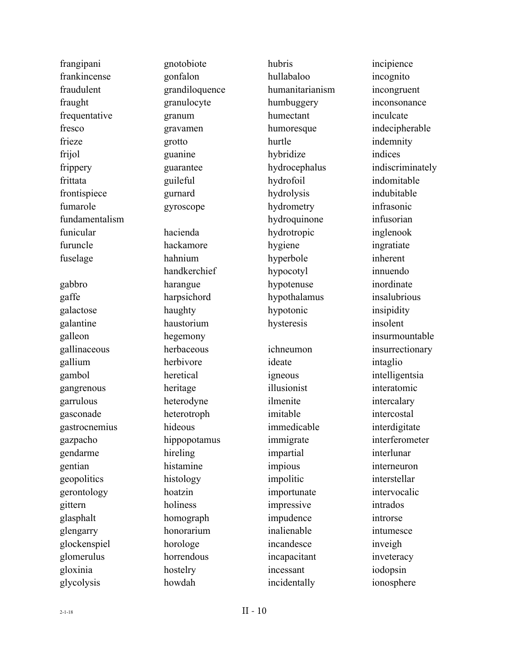| frangipani     |
|----------------|
| frankincense   |
| fraudulent     |
| fraught        |
| frequentative  |
| fresco         |
| frieze         |
| frijol         |
| frippery       |
| frittata       |
| frontispiece   |
| fumarole       |
| fundamentalism |
| funicular      |
| furuncle       |
| fuselage       |
|                |
| gabbro         |
| gaffe          |
| galactose      |
| galantine      |
| galleon        |
| gallinaceous   |
| gallium        |
| gambol         |
| gangrenous     |
| garrulous      |
| gasconade      |
| gastrocnemius  |
| gazpacho       |
| gendarme       |
| gentian        |
| geopolitics    |
| gerontology    |
| gittern        |
| glasphalt      |
| glengarry      |
| glockenspiel   |
| glomerulus     |
| gloxinia       |
| glycolysis     |

gnotobiote gonfalon grandiloquence granulocyte granum gravamen grotto guanine guarantee guileful gurnard gyroscope hacienda hackamore hahnium handkerchief harangue harpsichord haughty haustorium hegemony herbaceous herbivore heretical heritage heterodyne heterotroph hideous hippopotamus hireling histamine histology hoatzin holiness homograph honorarium horologe horrendous hostelry howdah

hubris hullabaloo humanitarianism humbuggery humectant humoresque hurtle hybridize hydrocephalus hydrofoil hydrolysis hydrometry hydroquinone hydrotropic hygiene hyperbole hypocotyl hypotenuse hypothalamus hypotonic hysteresis ichneumon ideate igneous illusionist ilmenite imitable immedicable immigrate impartial impious impolitic importunate impressive impudence inalienable incandesce incapacitant incessant incidentally

incipience incognito incongruent inconsonance inculcate indecipherable indemnity indices indiscriminately indomitable indubitable infrasonic infusorian inglenook ingratiate inherent innuendo inordinate insalubrious insipidity insolent insurmountable insurrectionary intaglio intelligentsia interatomic intercalary intercostal interdigitate interferometer interlunar interneuron interstellar intervocalic intrados introrse intumesce inveigh inveteracy iodopsin ionosphere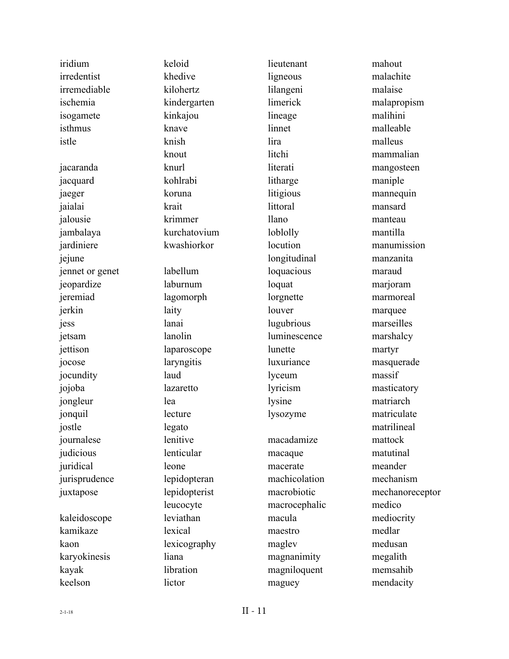| iridium         | keloid        | lieutenant    | mahout          |
|-----------------|---------------|---------------|-----------------|
| irredentist     | khedive       | ligneous      | malachite       |
| irremediable    | kilohertz     | lilangeni     | malaise         |
| ischemia        | kindergarten  | limerick      | malapropism     |
| isogamete       | kinkajou      | lineage       | malihini        |
| isthmus         | knave         | linnet        | malleable       |
| istle           | knish         | lira          | malleus         |
|                 | knout         | litchi        | mammalian       |
| jacaranda       | knurl         | literati      | mangosteen      |
| jacquard        | kohlrabi      | litharge      | maniple         |
| jaeger          | koruna        | litigious     | mannequin       |
| jaialai         | krait         | littoral      | mansard         |
| jalousie        | krimmer       | <i>llano</i>  | manteau         |
| jambalaya       | kurchatovium  | loblolly      | mantilla        |
| jardiniere      | kwashiorkor   | locution      | manumission     |
| jejune          |               | longitudinal  | manzanita       |
| jennet or genet | labellum      | loquacious    | maraud          |
| jeopardize      | laburnum      | loquat        | marjoram        |
| jeremiad        | lagomorph     | lorgnette     | marmoreal       |
| jerkin          | laity         | louver        | marquee         |
| jess            | lanai         | lugubrious    | marseilles      |
| jetsam          | lanolin       | luminescence  | marshalcy       |
| jettison        | laparoscope   | lunette       | martyr          |
| jocose          | laryngitis    | luxuriance    | masquerade      |
| jocundity       | laud          | lyceum        | massif          |
| jojoba          | lazaretto     | lyricism      | masticatory     |
| jongleur        | lea           | lysine        | matriarch       |
| jonquil         | lecture       | lysozyme      | matriculate     |
| jostle          | legato        |               | matrilineal     |
| journalese      | lenitive      | macadamize    | mattock         |
| judicious       | lenticular    | macaque       | matutinal       |
| juridical       | leone         | macerate      | meander         |
| jurisprudence   | lepidopteran  | machicolation | mechanism       |
| juxtapose       | lepidopterist | macrobiotic   | mechanoreceptor |
|                 | leucocyte     | macrocephalic | medico          |
| kaleidoscope    | leviathan     | macula        | mediocrity      |
| kamikaze        | lexical       | maestro       | medlar          |
| kaon            | lexicography  | maglev        | medusan         |
| karyokinesis    | liana         | magnanimity   | megalith        |
| kayak           | libration     | magniloquent  | memsahib        |
| keelson         | lictor        | maguey        | mendacity       |
|                 |               |               |                 |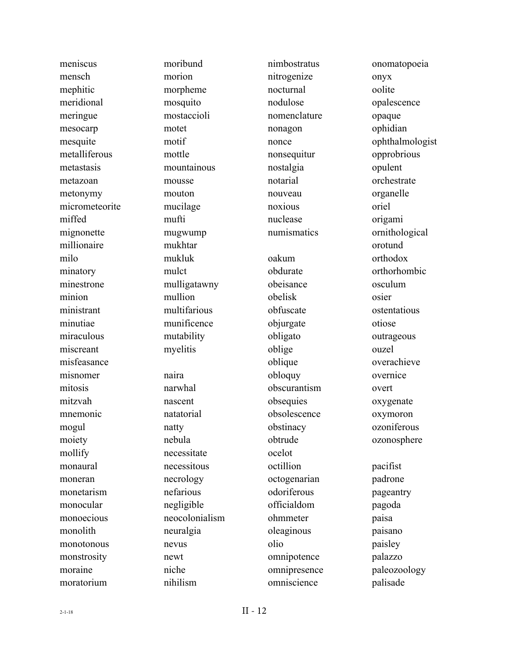meniscus mensch mephitic meridional meringue mesocarp mesquite metalliferous metastasis metazoan metonymy micrometeorite miffed mignonette millionaire milo minatory minestrone minion ministrant minutiae miraculous miscreant misfeasance misnomer mitosis mitzvah mnemonic mogul moiety mollify monaural moneran monetarism monocular monoecious monolith monotonous monstrosity moraine moratorium

moribund morion morpheme mosquito mostaccioli motet motif mottle mountainous mousse mouton mucilage mufti mugwump mukhtar mukluk mulct mulligatawny mullion multifarious munificence mutability myelitis naira narwhal nascent natatorial natty nebula necessitate necessitous necrology nefarious negligible neocolonialism neuralgia nevus newt niche nihilism

nimbostratus nitrogenize nocturnal nodulose nomenclature nonagon nonce nonsequitur nostalgia notarial nouveau noxious nuclease numismatics oakum obdurate obeisance obelisk obfuscate objurgate obligato oblige oblique obloquy obscurantism obsequies obsolescence obstinacy obtrude ocelot octillion octogenarian odoriferous officialdom ohmmeter oleaginous olio omnipotence omnipresence omniscience

onomatopoeia onyx oolite opalescence opaque ophidian ophthalmologist opprobrious opulent orchestrate organelle oriel origami ornithological orotund orthodox orthorhombic osculum osier ostentatious otiose outrageous ouzel overachieve overnice overt oxygenate oxymoron ozoniferous ozonosphere pacifist padrone pageantry pagoda paisa paisano paisley palazzo paleozoology palisade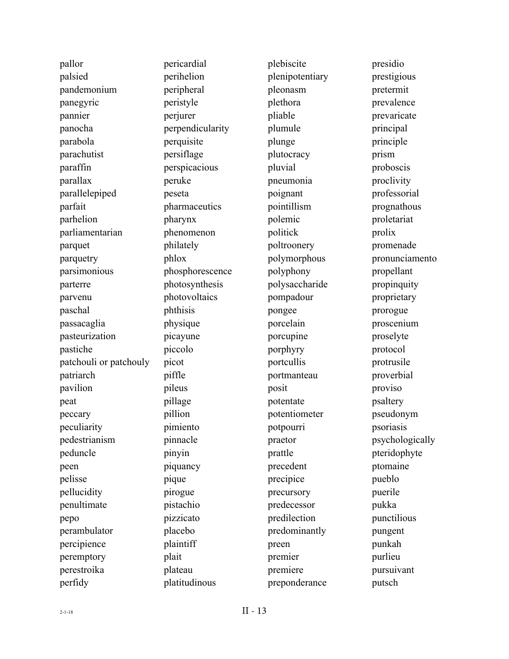| pallor                 |
|------------------------|
| palsied                |
| pandemonium            |
| panegyric              |
| pannier                |
| panocha                |
| parabola               |
| parachutist            |
| paraffin               |
| parallax               |
| parallelepiped         |
| parfait                |
| parhelion              |
| parliamentarian        |
| parquet                |
| parquetry              |
| parsimonious           |
| parterre               |
| parvenu                |
| paschal                |
| passacaglia            |
| pasteurization         |
| pastiche               |
| patchouli or patchouly |
| patriarch              |
| pavilion               |
| peat                   |
| peccary                |
| peculiarity            |
| pedestrianism          |
| peduncle               |
| peen                   |
| pelisse                |
| pellucidity            |
| penultimate            |
| pepo                   |
| perambulator           |
| percipience            |
| peremptory             |
| perestroika            |
| perfidy                |
|                        |

pericardial perihelion peripheral peristyle perjurer perpendicularity perquisite persiflage perspicacious peruke peseta pharmaceutics pharynx phenomenon philately phlox phosphorescence photosynthesis photovoltaics phthisis physique picayune piccolo picot piffle pileus pillage pillion pimiento pinnacle pinyin piquancy pique pirogue pistachio pizzicato placebo plaintiff plait plateau platitudinous

plebiscite plenipotentiary pleonasm plethora pliable plumule plunge plutocracy pluvial pneumonia poignant pointillism polemic politick poltroonery polymorphous polyphony polysaccharide pompadour pongee porcelain porcupine porphyry portcullis portmanteau posit potentate potentiometer potpourri praetor prattle precedent precipice precursory predecessor predilection predominantly preen premier premiere preponderance

presidio prestigious pretermit prevalence prevaricate principal principle prism proboscis proclivity professorial prognathous proletariat prolix promenade pronunciamento propellant propinquity proprietary prorogue proscenium proselyte protocol protrusile proverbial proviso psaltery pseudonym psoriasis psychologically pteridophyte ptomaine pueblo puerile pukka punctilious pungent punkah purlieu pursuivant putsch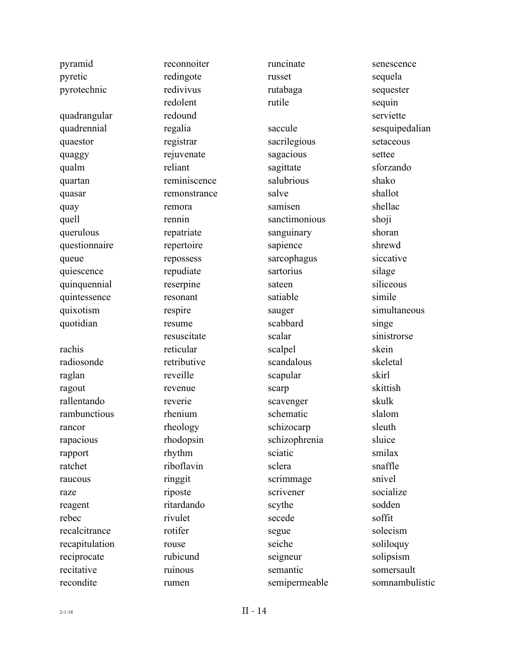| pyramid        | reconnoiter  | runcinate     | senescence     |
|----------------|--------------|---------------|----------------|
| pyretic        | redingote    | russet        | sequela        |
| pyrotechnic    | redivivus    | rutabaga      | sequester      |
|                | redolent     | rutile        | sequin         |
| quadrangular   | redound      |               | serviette      |
| quadrennial    | regalia      | saccule       | sesquipedalian |
| quaestor       | registrar    | sacrilegious  | setaceous      |
| quaggy         | rejuvenate   | sagacious     | settee         |
| qualm          | reliant      | sagittate     | sforzando      |
| quartan        | reminiscence | salubrious    | shako          |
| quasar         | remonstrance | salve         | shallot        |
| quay           | remora       | samisen       | shellac        |
| quell          | rennin       | sanctimonious | shoji          |
| querulous      | repatriate   | sanguinary    | shoran         |
| questionnaire  | repertoire   | sapience      | shrewd         |
| queue          | repossess    | sarcophagus   | siccative      |
| quiescence     | repudiate    | sartorius     | silage         |
| quinquennial   | reserpine    | sateen        | siliceous      |
| quintessence   | resonant     | satiable      | simile         |
| quixotism      | respire      | sauger        | simultaneous   |
| quotidian      | resume       | scabbard      | singe          |
|                | resuscitate  | scalar        | sinistrorse    |
| rachis         | reticular    | scalpel       | skein          |
| radiosonde     | retributive  | scandalous    | skeletal       |
| raglan         | reveille     | scapular      | skirl          |
| ragout         | revenue      | scarp         | skittish       |
| rallentando    | reverie      | scavenger     | skulk          |
| rambunctious   | rhenium      | schematic     | slalom         |
| rancor         | rheology     | schizocarp    | sleuth         |
| rapacious      | rhodopsin    | schizophrenia | sluice         |
| rapport        | rhythm       | sciatic       | smilax         |
| ratchet        | riboflavin   | sclera        | snaffle        |
| raucous        | ringgit      | scrimmage     | snivel         |
| raze           | riposte      | scrivener     | socialize      |
| reagent        | ritardando   | scythe        | sodden         |
| rebec          | rivulet      | secede        | soffit         |
| recalcitrance  | rotifer      | segue         | solecism       |
| recapitulation | rouse        | seiche        | soliloquy      |
| reciprocate    | rubicund     | seigneur      | solipsism      |
| recitative     | ruinous      | semantic      | somersault     |
| recondite      | rumen        | semipermeable | somnambulistic |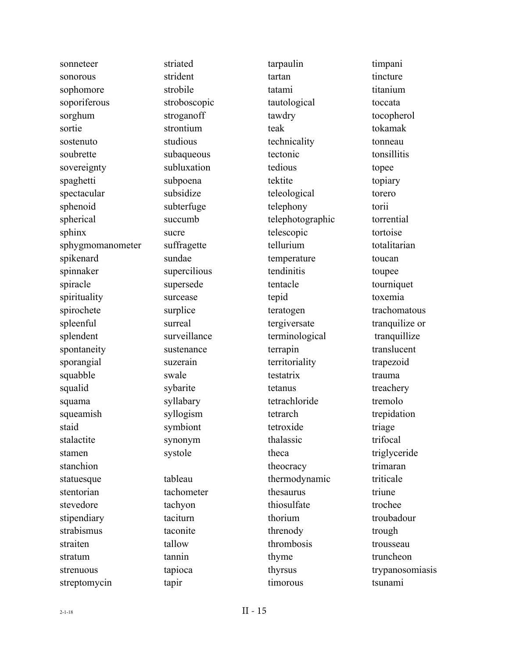| sonneteer        |
|------------------|
| sonorous         |
| sophomore        |
| soporiferous     |
| sorghum          |
| sortie           |
| sostenuto        |
| soubrette        |
| sovereignty      |
| spaghetti        |
| spectacular      |
| sphenoid         |
| spherical        |
| sphinx           |
| sphygmomanometer |
| spikenard        |
| spinnaker        |
| spiracle         |
| spirituality     |
| spirochete       |
| spleenful        |
| splendent        |
| spontaneity      |
| sporangial       |
| squabble         |
| squalid          |
| squama           |
| squeamish        |
| staid            |
| stalactite       |
| stamen           |
| stanchion        |
| statuesque       |
| stentorian       |
| stevedore        |
| stipendiary      |
| strabismus       |
| straiten         |
| stratum          |
| strenuous        |
| streptomycin     |
|                  |

striated strident strobile stroboscopic stroganoff strontium studious subaqueous subluxation subpoena subsidize subterfuge succumb sucre suffragette sundae supercilious supersede surcease surplice surreal surveillance sustenance suzerain swale sybarite syllabary syllogism symbiont synonym systole tableau tachometer tachyon taciturn taconite tallow tannin tapioca tapir

tarpaulin tartan tatami tautological tawdry teak technicality tectonic tedious tektite teleological telephony telephotographic telescopic tellurium temperature tendinitis tentacle tepid teratogen tergiversate terminological terrapin territoriality testatrix tetanus tetrachloride tetrarch tetroxide thalassic theca theocracy thermodynamic thesaurus thiosulfate thorium threnody thrombosis thyme thyrsus timorous

timpani tincture titanium toccata tocopherol tokamak tonneau tonsillitis topee topiary torero torii torrential tortoise totalitarian toucan toupee tourniquet toxemia trachomatous tranquilize or tranquillize translucent trapezoid trauma treachery tremolo trepidation triage trifocal triglyceride trimaran triticale triune trochee troubadour trough trousseau truncheon trypanosomiasis tsunami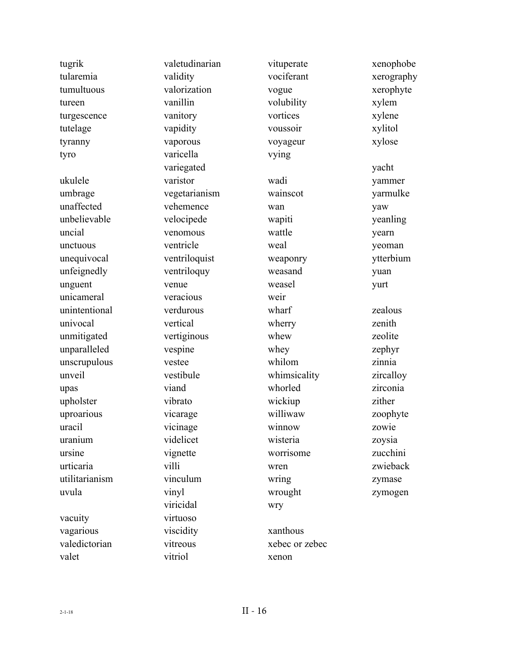| tugrik         | valetudinarian | vituperate     | xenophobe  |
|----------------|----------------|----------------|------------|
| tularemia      | validity       | vociferant     | xerography |
| tumultuous     | valorization   | vogue          | xerophyte  |
| tureen         | vanillin       | volubility     | xylem      |
| turgescence    | vanitory       | vortices       | xylene     |
| tutelage       | vapidity       | voussoir       | xylitol    |
| tyranny        | vaporous       | voyageur       | xylose     |
| tyro           | varicella      | vying          |            |
|                | variegated     |                | yacht      |
| ukulele        | varistor       | wadi           | yammer     |
| umbrage        | vegetarianism  | wainscot       | yarmulke   |
| unaffected     | vehemence      | wan            | yaw        |
| unbelievable   | velocipede     | wapiti         | yeanling   |
| uncial         | venomous       | wattle         | yearn      |
| unctuous       | ventricle      | weal           | yeoman     |
| unequivocal    | ventriloquist  | weaponry       | ytterbium  |
| unfeignedly    | ventriloquy    | weasand        | yuan       |
| unguent        | venue          | weasel         | yurt       |
| unicameral     | veracious      | weir           |            |
| unintentional  | verdurous      | wharf          | zealous    |
| univocal       | vertical       | wherry         | zenith     |
| unmitigated    | vertiginous    | whew           | zeolite    |
| unparalleled   | vespine        | whey           | zephyr     |
| unscrupulous   | vestee         | whilom         | zinnia     |
| unveil         | vestibule      | whimsicality   | zircalloy  |
| upas           | viand          | whorled        | zirconia   |
| upholster      | vibrato        | wickiup        | zither     |
| uproarious     | vicarage       | williwaw       | zoophyte   |
| uracil         | vicinage       | winnow         | zowie      |
| uranium        | videlicet      | wisteria       | zoysia     |
| ursine         | vignette       | worrisome      | zucchini   |
| urticaria      | villi          | wren           | zwieback   |
| utilitarianism | vinculum       | wring          | zymase     |
| uvula          | vinyl          | wrought        | zymogen    |
|                | viricidal      | wry            |            |
| vacuity        | virtuoso       |                |            |
| vagarious      | viscidity      | xanthous       |            |
| valedictorian  | vitreous       | xebec or zebec |            |
| valet          | vitriol        | xenon          |            |
|                |                |                |            |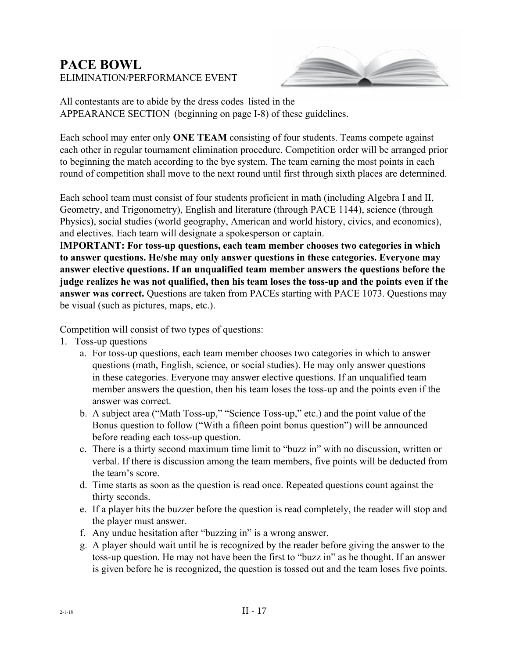### **PACE BOWL**  ELIMINATION/PERFORMANCE EVENT



All contestants are to abide by the dress codes listed in the APPEARANCE SECTION (beginning on page I-8) of these guidelines.

Each school may enter only **ONE TEAM** consisting of four students. Teams compete against each other in regular tournament elimination procedure. Competition order will be arranged prior to beginning the match according to the bye system. The team earning the most points in each round of competition shall move to the next round until first through sixth places are determined.

Each school team must consist of four students proficient in math (including Algebra I and II, Geometry, and Trigonometry), English and literature (through PACE 1144), science (through Physics), social studies (world geography, American and world history, civics, and economics), and electives. Each team will designate a spokesperson or captain.

I**MPORTANT: For toss-up questions, each team member chooses two categories in which to answer questions. He/she may only answer questions in these categories. Everyone may answer elective questions. If an unqualified team member answers the questions before the judge realizes he was not qualified, then his team loses the toss-up and the points even if the answer was correct.** Questions are taken from PACEs starting with PACE 1073. Questions may be visual (such as pictures, maps, etc.).

Competition will consist of two types of questions:

- 1. Toss-up questions
	- a. For toss-up questions, each team member chooses two categories in which to answer questions (math, English, science, or social studies). He may only answer questions in these categories. Everyone may answer elective questions. If an unqualified team member answers the question, then his team loses the toss-up and the points even if the answer was correct.
	- b. A subject area ("Math Toss-up," "Science Toss-up," etc.) and the point value of the Bonus question to follow ("With a fifteen point bonus question") will be announced before reading each toss-up question.
	- c. There is a thirty second maximum time limit to "buzz in" with no discussion, written or verbal. If there is discussion among the team members, five points will be deducted from the team's score.
	- d. Time starts as soon as the question is read once. Repeated questions count against the thirty seconds.
	- e. If a player hits the buzzer before the question is read completely, the reader will stop and the player must answer.
	- f. Any undue hesitation after "buzzing in" is a wrong answer.
	- g. A player should wait until he is recognized by the reader before giving the answer to the toss-up question. He may not have been the first to "buzz in" as he thought. If an answer is given before he is recognized, the question is tossed out and the team loses five points.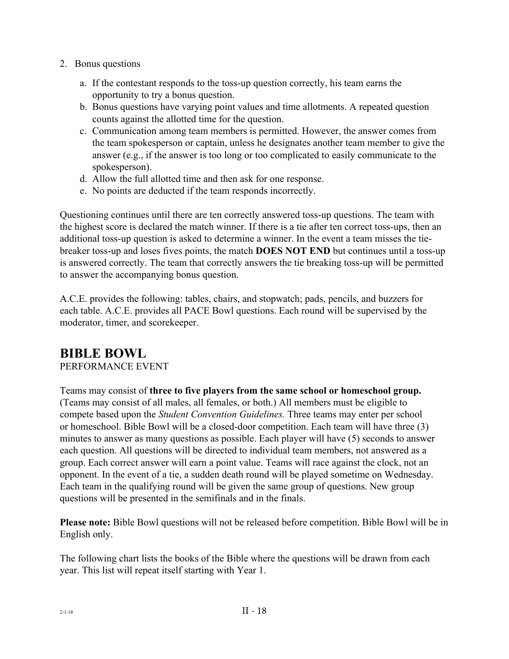- 2. Bonus questions
	- a. If the contestant responds to the toss-up question correctly, his team earns the opportunity to try a bonus question.
	- b. Bonus questions have varying point values and time allotments. A repeated question counts against the allotted time for the question.
	- c. Communication among team members is permitted. However, the answer comes from the team spokesperson or captain, unless he designates another team member to give the answer (e.g., if the answer is too long or too complicated to easily communicate to the spokesperson).
	- d. Allow the full allotted time and then ask for one response.
	- e. No points are deducted if the team responds incorrectly.

Questioning continues until there are ten correctly answered toss-up questions. The team with the highest score is declared the match winner. If there is a tie after ten correct toss-ups, then an additional toss-up question is asked to determine a winner. In the event a team misses the tiebreaker toss-up and loses fives points, the match **DOES NOT END** but continues until a toss-up is answered correctly. The team that correctly answers the tie breaking toss-up will be permitted to answer the accompanying bonus question.

A.C.E. provides the following: tables, chairs, and stopwatch; pads, pencils, and buzzers for each table. A.C.E. provides all PACE Bowl questions. Each round will be supervised by the moderator, timer, and scorekeeper.

### **BIBLE BOWL**

PERFORMANCE EVENT

Teams may consist of **three to five players from the same school or homeschool group.**  (Teams may consist of all males, all females, or both.) All members must be eligible to compete based upon the *Student Convention Guidelines.* Three teams may enter per school or homeschool. Bible Bowl will be a closed-door competition. Each team will have three (3) minutes to answer as many questions as possible. Each player will have (5) seconds to answer each question. All questions will be directed to individual team members, not answered as a group. Each correct answer will earn a point value. Teams will race against the clock, not an opponent. In the event of a tie, a sudden death round will be played sometime on Wednesday. Each team in the qualifying round will be given the same group of questions. New group questions will be presented in the semifinals and in the finals.

**Please note:** Bible Bowl questions will not be released before competition. Bible Bowl will be in English only.

The following chart lists the books of the Bible where the questions will be drawn from each year. This list will repeat itself starting with Year 1.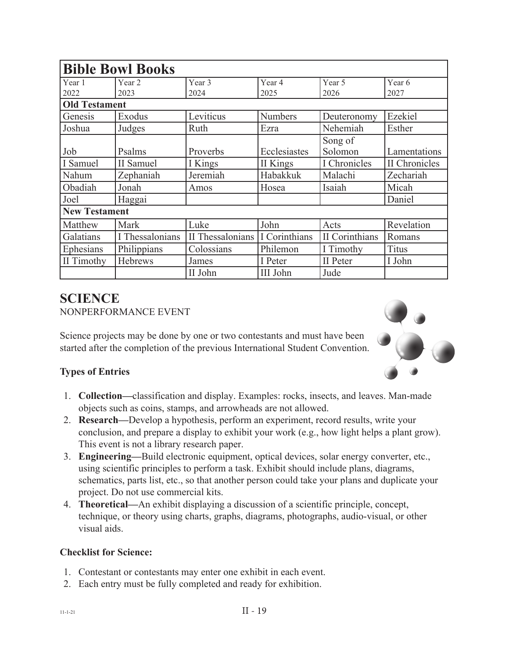| <b>Bible Bowl Books</b> |                 |                  |                 |                |               |
|-------------------------|-----------------|------------------|-----------------|----------------|---------------|
| Year 1                  | Year 2          | Year 3           | Year 4          | Year 5         | Year 6        |
| 2022                    | 2023            | 2024             | 2025            | 2026           | 2027          |
| <b>Old Testament</b>    |                 |                  |                 |                |               |
| Genesis                 | Exodus          | Leviticus        | <b>Numbers</b>  | Deuteronomy    | Ezekiel       |
| Joshua                  | Judges          | Ruth             | Ezra            | Nehemiah       | Esther        |
|                         |                 |                  |                 | Song of        |               |
| Job                     | Psalms          | Proverbs         | Ecclesiastes    | Solomon        | Lamentations  |
| I Samuel                | II Samuel       | I Kings          | II Kings        | I Chronicles   | II Chronicles |
| Nahum                   | Zephaniah       | Jeremiah         | Habakkuk        | Malachi        | Zechariah     |
| Obadiah                 | Jonah           | Amos             | Hosea           | Isaiah         | Micah         |
| Joel                    | Haggai          |                  |                 |                | Daniel        |
| <b>New Testament</b>    |                 |                  |                 |                |               |
| Matthew                 | Mark            | Luke             | John            | Acts           | Revelation    |
| Galatians               | I Thessalonians | II Thessalonians | I Corinthians   | II Corinthians | Romans        |
| Ephesians               | Philippians     | Colossians       | Philemon        | I Timothy      | <b>Titus</b>  |
| II Timothy              | Hebrews         | James            | I Peter         | II Peter       | I John        |
|                         |                 | II John          | <b>III John</b> | Jude           |               |

### **SCIENCE** NONPERFORMANCE EVENT

Science projects may be done by one or two contestants and must have been started after the completion of the previous International Student Convention.



### **Types of Entries**

- 1. **Collection—**classification and display. Examples: rocks, insects, and leaves. Man-made objects such as coins, stamps, and arrowheads are not allowed.
- 2. **Research—**Develop a hypothesis, perform an experiment, record results, write your conclusion, and prepare a display to exhibit your work (e.g., how light helps a plant grow). This event is not a library research paper.
- 3. **Engineering—**Build electronic equipment, optical devices, solar energy converter, etc., using scientific principles to perform a task. Exhibit should include plans, diagrams, schematics, parts list, etc., so that another person could take your plans and duplicate your project. Do not use commercial kits.
- 4. **Theoretical—**An exhibit displaying a discussion of a scientific principle, concept, technique, or theory using charts, graphs, diagrams, photographs, audio-visual, or other visual aids.

### **Checklist for Science:**

- 1. Contestant or contestants may enter one exhibit in each event.
- 2. Each entry must be fully completed and ready for exhibition.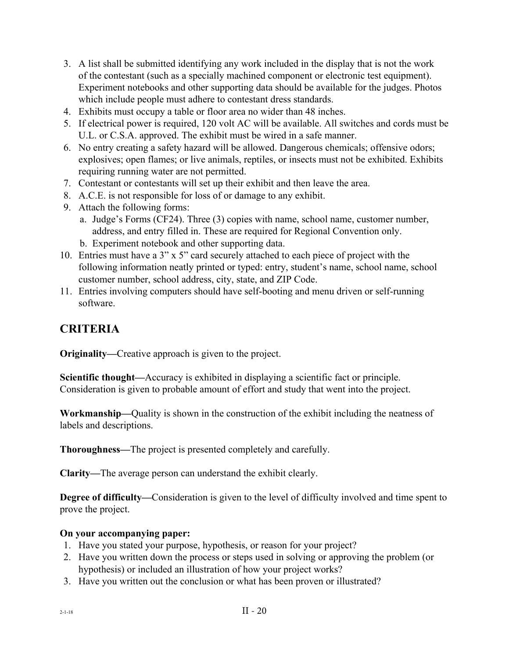- 3. A list shall be submitted identifying any work included in the display that is not the work of the contestant (such as a specially machined component or electronic test equipment). Experiment notebooks and other supporting data should be available for the judges. Photos which include people must adhere to contestant dress standards.
- 4. Exhibits must occupy a table or floor area no wider than 48 inches.
- 5. If electrical power is required, 120 volt AC will be available. All switches and cords must be U.L. or C.S.A. approved. The exhibit must be wired in a safe manner.
- 6. No entry creating a safety hazard will be allowed. Dangerous chemicals; offensive odors; explosives; open flames; or live animals, reptiles, or insects must not be exhibited. Exhibits requiring running water are not permitted.
- 7. Contestant or contestants will set up their exhibit and then leave the area.
- 8. A.C.E. is not responsible for loss of or damage to any exhibit.
- 9. Attach the following forms:
	- a. Judge's Forms (CF24). Three (3) copies with name, school name, customer number, address, and entry filled in. These are required for Regional Convention only.
	- b. Experiment notebook and other supporting data.
- 10. Entries must have a 3" x 5" card securely attached to each piece of project with the following information neatly printed or typed: entry, student's name, school name, school customer number, school address, city, state, and ZIP Code.
- 11. Entries involving computers should have self-booting and menu driven or self-running software.

### **CRITERIA**

**Originality—**Creative approach is given to the project.

**Scientific thought—**Accuracy is exhibited in displaying a scientific fact or principle. Consideration is given to probable amount of effort and study that went into the project.

**Workmanship—**Quality is shown in the construction of the exhibit including the neatness of labels and descriptions.

**Thoroughness—**The project is presented completely and carefully.

**Clarity—**The average person can understand the exhibit clearly.

**Degree of difficulty—**Consideration is given to the level of difficulty involved and time spent to prove the project.

### **On your accompanying paper:**

- 1. Have you stated your purpose, hypothesis, or reason for your project?
- 2. Have you written down the process or steps used in solving or approving the problem (or hypothesis) or included an illustration of how your project works?
- 3. Have you written out the conclusion or what has been proven or illustrated?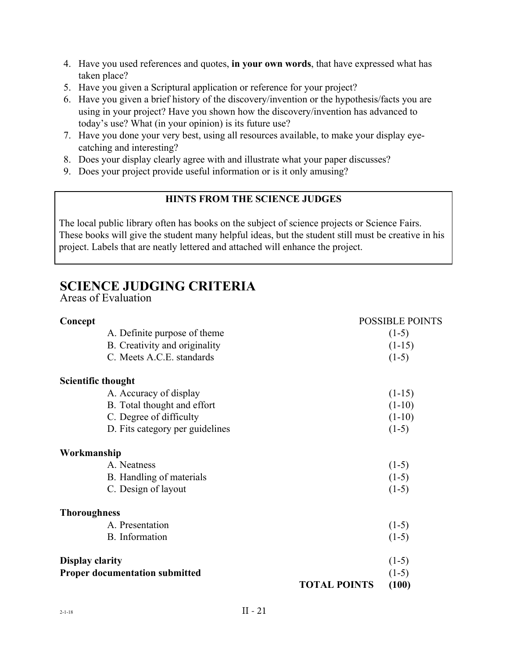- 4. Have you used references and quotes, **in your own words**, that have expressed what has taken place?
- 5. Have you given a Scriptural application or reference for your project?
- 6. Have you given a brief history of the discovery/invention or the hypothesis/facts you are using in your project? Have you shown how the discovery/invention has advanced to today's use? What (in your opinion) is its future use?
- 7. Have you done your very best, using all resources available, to make your display eyecatching and interesting?
- 8. Does your display clearly agree with and illustrate what your paper discusses?
- 9. Does your project provide useful information or is it only amusing?

### **HINTS FROM THE SCIENCE JUDGES**

The local public library often has books on the subject of science projects or Science Fairs. These books will give the student many helpful ideas, but the student still must be creative in his project. Labels that are neatly lettered and attached will enhance the project.

### **SCIENCE JUDGING CRITERIA**

Areas of Evaluation

| Concept                   |                                       |                     | <b>POSSIBLE POINTS</b> |
|---------------------------|---------------------------------------|---------------------|------------------------|
|                           | A. Definite purpose of theme          |                     | $(1-5)$                |
|                           | B. Creativity and originality         |                     | $(1-15)$               |
|                           | C. Meets A.C.E. standards             |                     | $(1-5)$                |
| <b>Scientific thought</b> |                                       |                     |                        |
|                           | A. Accuracy of display                |                     | $(1-15)$               |
|                           | B. Total thought and effort           |                     | $(1-10)$               |
|                           | C. Degree of difficulty               |                     | $(1-10)$               |
|                           | D. Fits category per guidelines       |                     | $(1-5)$                |
| Workmanship               |                                       |                     |                        |
|                           | A. Neatness                           |                     | $(1-5)$                |
|                           | B. Handling of materials              |                     | $(1-5)$                |
|                           | C. Design of layout                   |                     | $(1-5)$                |
| <b>Thoroughness</b>       |                                       |                     |                        |
|                           | A. Presentation                       |                     | $(1-5)$                |
|                           | <b>B.</b> Information                 |                     | $(1-5)$                |
| <b>Display clarity</b>    |                                       |                     | $(1-5)$                |
|                           | <b>Proper documentation submitted</b> |                     | $(1-5)$                |
|                           |                                       | <b>TOTAL POINTS</b> | (100)                  |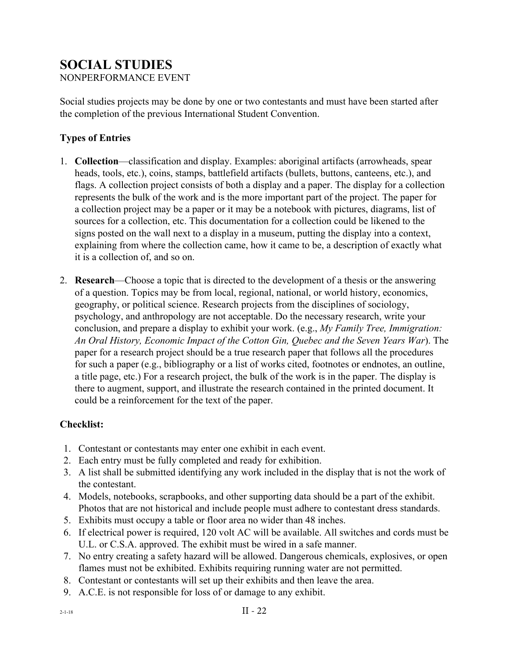## **SOCIAL STUDIES**

NONPERFORMANCE EVENT

Social studies projects may be done by one or two contestants and must have been started after the completion of the previous International Student Convention.

### **Types of Entries**

- 1. **Collection**—classification and display. Examples: aboriginal artifacts (arrowheads, spear heads, tools, etc.), coins, stamps, battlefield artifacts (bullets, buttons, canteens, etc.), and flags. A collection project consists of both a display and a paper. The display for a collection represents the bulk of the work and is the more important part of the project. The paper for a collection project may be a paper or it may be a notebook with pictures, diagrams, list of sources for a collection, etc. This documentation for a collection could be likened to the signs posted on the wall next to a display in a museum, putting the display into a context, explaining from where the collection came, how it came to be, a description of exactly what it is a collection of, and so on.
- 2. **Research**—Choose a topic that is directed to the development of a thesis or the answering of a question. Topics may be from local, regional, national, or world history, economics, geography, or political science. Research projects from the disciplines of sociology, psychology, and anthropology are not acceptable. Do the necessary research, write your conclusion, and prepare a display to exhibit your work. (e.g., *My Family Tree, Immigration: An Oral History, Economic Impact of the Cotton Gin, Quebec and the Seven Years War*). The paper for a research project should be a true research paper that follows all the procedures for such a paper (e.g., bibliography or a list of works cited, footnotes or endnotes, an outline, a title page, etc.) For a research project, the bulk of the work is in the paper. The display is there to augment, support, and illustrate the research contained in the printed document. It could be a reinforcement for the text of the paper.

### **Checklist:**

- 1. Contestant or contestants may enter one exhibit in each event.
- 2. Each entry must be fully completed and ready for exhibition.
- 3. A list shall be submitted identifying any work included in the display that is not the work of the contestant.
- 4. Models, notebooks, scrapbooks, and other supporting data should be a part of the exhibit. Photos that are not historical and include people must adhere to contestant dress standards.
- 5. Exhibits must occupy a table or floor area no wider than 48 inches.
- 6. If electrical power is required, 120 volt AC will be available. All switches and cords must be U.L. or C.S.A. approved. The exhibit must be wired in a safe manner.
- 7. No entry creating a safety hazard will be allowed. Dangerous chemicals, explosives, or open flames must not be exhibited. Exhibits requiring running water are not permitted.
- 8. Contestant or contestants will set up their exhibits and then leave the area.
- 9. A.C.E. is not responsible for loss of or damage to any exhibit.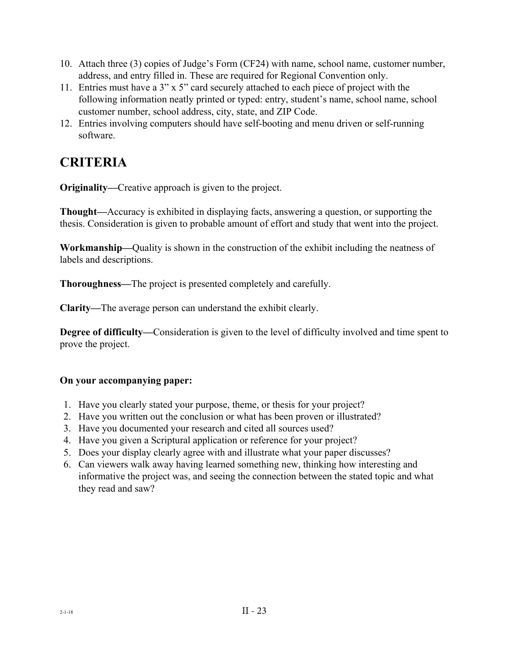- 10. Attach three (3) copies of Judge's Form (CF24) with name, school name, customer number, address, and entry filled in. These are required for Regional Convention only.
- 11. Entries must have a 3" x 5" card securely attached to each piece of project with the following information neatly printed or typed: entry, student's name, school name, school customer number, school address, city, state, and ZIP Code.
- 12. Entries involving computers should have self-booting and menu driven or self-running software.

## **CRITERIA**

**Originality—**Creative approach is given to the project.

**Thought—**Accuracy is exhibited in displaying facts, answering a question, or supporting the thesis. Consideration is given to probable amount of effort and study that went into the project.

**Workmanship—**Quality is shown in the construction of the exhibit including the neatness of labels and descriptions.

**Thoroughness—**The project is presented completely and carefully.

**Clarity—**The average person can understand the exhibit clearly.

**Degree of difficulty—**Consideration is given to the level of difficulty involved and time spent to prove the project.

### **On your accompanying paper:**

- 1. Have you clearly stated your purpose, theme, or thesis for your project?
- 2. Have you written out the conclusion or what has been proven or illustrated?
- 3. Have you documented your research and cited all sources used?
- 4. Have you given a Scriptural application or reference for your project?
- 5. Does your display clearly agree with and illustrate what your paper discusses?
- 6. Can viewers walk away having learned something new, thinking how interesting and informative the project was, and seeing the connection between the stated topic and what they read and saw?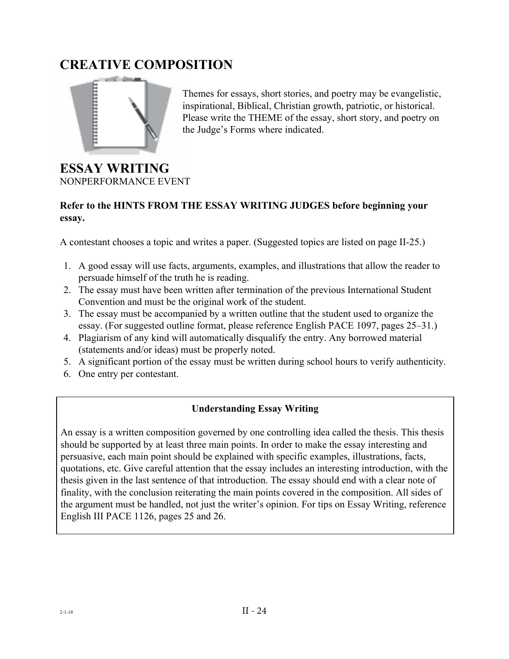## **CREATIVE COMPOSITION**



Themes for essays, short stories, and poetry may be evangelistic, inspirational, Biblical, Christian growth, patriotic, or historical. Please write the THEME of the essay, short story, and poetry on the Judge's Forms where indicated.

### **ESSAY WRITING** NONPERFORMANCE EVENT

### **Refer to the HINTS FROM THE ESSAY WRITING JUDGES before beginning your essay.**

A contestant chooses a topic and writes a paper. (Suggested topics are listed on page II-25.)

- 1. A good essay will use facts, arguments, examples, and illustrations that allow the reader to persuade himself of the truth he is reading.
- 2. The essay must have been written after termination of the previous International Student Convention and must be the original work of the student.
- 3. The essay must be accompanied by a written outline that the student used to organize the essay. (For suggested outline format, please reference English PACE 1097, pages 25–31.)
- 4. Plagiarism of any kind will automatically disqualify the entry. Any borrowed material (statements and/or ideas) must be properly noted.
- 5. A significant portion of the essay must be written during school hours to verify authenticity.
- 6. One entry per contestant.

### **Understanding Essay Writing**

An essay is a written composition governed by one controlling idea called the thesis. This thesis should be supported by at least three main points. In order to make the essay interesting and persuasive, each main point should be explained with specific examples, illustrations, facts, quotations, etc. Give careful attention that the essay includes an interesting introduction, with the thesis given in the last sentence of that introduction. The essay should end with a clear note of finality, with the conclusion reiterating the main points covered in the composition. All sides of the argument must be handled, not just the writer's opinion. For tips on Essay Writing, reference English III PACE 1126, pages 25 and 26.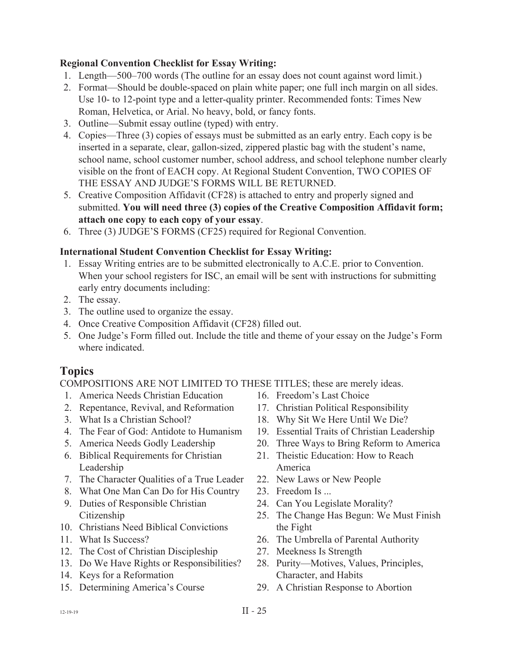### **Regional Convention Checklist for Essay Writing:**

- 1. Length—500–700 words (The outline for an essay does not count against word limit.)
- 2. Format—Should be double-spaced on plain white paper; one full inch margin on all sides. Use 10- to 12-point type and a letter-quality printer. Recommended fonts: Times New Roman, Helvetica, or Arial. No heavy, bold, or fancy fonts.
- 3. Outline—Submit essay outline (typed) with entry.
- 4. Copies—Three (3) copies of essays must be submitted as an early entry. Each copy is be inserted in a separate, clear, gallon-sized, zippered plastic bag with the student's name, school name, school customer number, school address, and school telephone number clearly visible on the front of EACH copy. At Regional Student Convention, TWO COPIES OF THE ESSAY AND JUDGE'S FORMS WILL BE RETURNED.
- 5. Creative Composition Affidavit (CF28) is attached to entry and properly signed and submitted. **You will need three (3) copies of the Creative Composition Affidavit form; attach one copy to each copy of your essay**.
- 6. Three (3) JUDGE'S FORMS (CF25) required for Regional Convention.

### **International Student Convention Checklist for Essay Writing:**

- 1. Essay Writing entries are to be submitted electronically to A.C.E. prior to Convention. When your school registers for ISC, an email will be sent with instructions for submitting early entry documents including:
- 2. The essay.
- 3. The outline used to organize the essay.
- 4. Once Creative Composition Affidavit (CF28) filled out.
- 5. One Judge's Form filled out. Include the title and theme of your essay on the Judge's Form where indicated.

### **Topics**

COMPOSITIONS ARE NOT LIMITED TO THESE TITLES; these are merely ideas.

- 1. America Needs Christian Education
- 2. Repentance, Revival, and Reformation
- 3. What Is a Christian School?
- 4. The Fear of God: Antidote to Humanism
- 5. America Needs Godly Leadership
- 6. Biblical Requirements for Christian Leadership
- 7. The Character Qualities of a True Leader
- 8. What One Man Can Do for His Country
- 9. Duties of Responsible Christian Citizenship
- 10. Christians Need Biblical Convictions
- 11. What Is Success?
- 12. The Cost of Christian Discipleship
- 13. Do We Have Rights or Responsibilities?
- 14. Keys for a Reformation
- 15. Determining America's Course
- 16. Freedom's Last Choice
- 17. Christian Political Responsibility
- 18. Why Sit We Here Until We Die?
- 19. Essential Traits of Christian Leadership
- 20. Three Ways to Bring Reform to America
- 21. Theistic Education: How to Reach America
- 22. New Laws or New People
- 23. Freedom Is ...
- 24. Can You Legislate Morality?
- 25. The Change Has Begun: We Must Finish the Fight
- 26. The Umbrella of Parental Authority
- 27. Meekness Is Strength
- 28. Purity—Motives, Values, Principles, Character, and Habits
- 29. A Christian Response to Abortion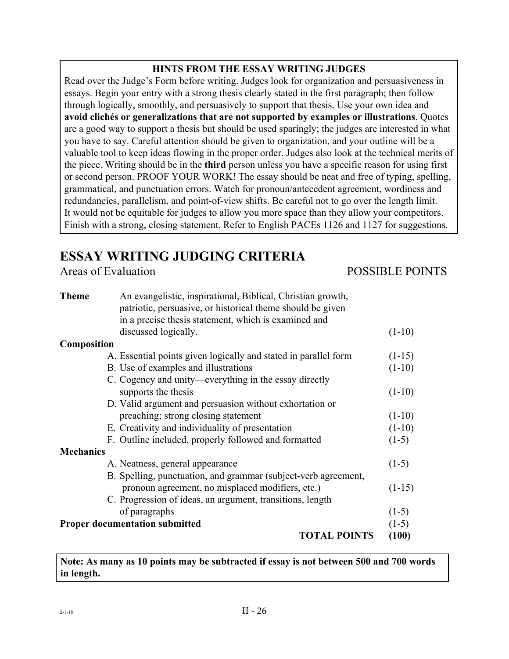### **HINTS FROM THE ESSAY WRITING JUDGES**

Read over the Judge's Form before writing. Judges look for organization and persuasiveness in essays. Begin your entry with a strong thesis clearly stated in the first paragraph; then follow through logically, smoothly, and persuasively to support that thesis. Use your own idea and **avoid clichés or generalizations that are not supported by examples or illustrations**. Quotes are a good way to support a thesis but should be used sparingly; the judges are interested in what you have to say. Careful attention should be given to organization, and your outline will be a valuable tool to keep ideas flowing in the proper order. Judges also look at the technical merits of the piece. Writing should be in the **third** person unless you have a specific reason for using first or second person. PROOF YOUR WORK! The essay should be neat and free of typing, spelling, grammatical, and punctuation errors. Watch for pronoun/antecedent agreement, wordiness and redundancies, parallelism, and point-of-view shifts. Be careful not to go over the length limit. It would not be equitable for judges to allow you more space than they allow your competitors. Finish with a strong, closing statement. Refer to English PACEs 1126 and 1127 for suggestions.

## **ESSAY WRITING JUDGING CRITERIA**

### Areas of EvaluationPOSSIBLE POINTS

| <b>Theme</b>     | An evangelistic, inspirational, Biblical, Christian growth,<br>patriotic, persuasive, or historical theme should be given |          |
|------------------|---------------------------------------------------------------------------------------------------------------------------|----------|
|                  | in a precise thesis statement, which is examined and<br>discussed logically.                                              | $(1-10)$ |
| Composition      |                                                                                                                           |          |
|                  | A. Essential points given logically and stated in parallel form                                                           | $(1-15)$ |
|                  | B. Use of examples and illustrations                                                                                      | $(1-10)$ |
|                  | C. Cogency and unity—everything in the essay directly                                                                     |          |
|                  | supports the thesis                                                                                                       | $(1-10)$ |
|                  | D. Valid argument and persuasion without exhortation or                                                                   |          |
|                  | preaching; strong closing statement                                                                                       | $(1-10)$ |
|                  | E. Creativity and individuality of presentation                                                                           | $(1-10)$ |
|                  | F. Outline included, properly followed and formatted                                                                      | $(1-5)$  |
| <b>Mechanics</b> |                                                                                                                           |          |
|                  | A. Neatness, general appearance                                                                                           | $(1-5)$  |
|                  | B. Spelling, punctuation, and grammar (subject-verb agreement,                                                            |          |
|                  | pronoun agreement, no misplaced modifiers, etc.)                                                                          | $(1-15)$ |
|                  | C. Progression of ideas, an argument, transitions, length                                                                 |          |
|                  | of paragraphs                                                                                                             | $(1-5)$  |
|                  | <b>Proper documentation submitted</b>                                                                                     | $(1-5)$  |
|                  | <b>TOTAL POINTS</b>                                                                                                       | (100)    |
|                  |                                                                                                                           |          |

**Note: As many as 10 points may be subtracted if essay is not between 500 and 700 words in length.**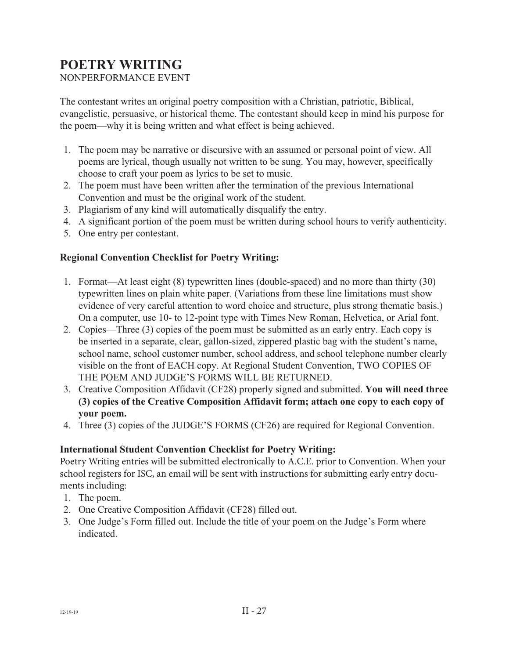## **POETRY WRITING**

NONPERFORMANCE EVENT

The contestant writes an original poetry composition with a Christian, patriotic, Biblical, evangelistic, persuasive, or historical theme. The contestant should keep in mind his purpose for the poem—why it is being written and what effect is being achieved.

- 1. The poem may be narrative or discursive with an assumed or personal point of view. All poems are lyrical, though usually not written to be sung. You may, however, specifically choose to craft your poem as lyrics to be set to music.
- 2. The poem must have been written after the termination of the previous International Convention and must be the original work of the student.
- 3. Plagiarism of any kind will automatically disqualify the entry.
- 4. A significant portion of the poem must be written during school hours to verify authenticity.
- 5. One entry per contestant.

### **Regional Convention Checklist for Poetry Writing:**

- 1. Format—At least eight (8) typewritten lines (double-spaced) and no more than thirty (30) typewritten lines on plain white paper. (Variations from these line limitations must show evidence of very careful attention to word choice and structure, plus strong thematic basis.) On a computer, use 10- to 12-point type with Times New Roman, Helvetica, or Arial font.
- 2. Copies—Three (3) copies of the poem must be submitted as an early entry. Each copy is be inserted in a separate, clear, gallon-sized, zippered plastic bag with the student's name, school name, school customer number, school address, and school telephone number clearly visible on the front of EACH copy. At Regional Student Convention, TWO COPIES OF THE POEM AND JUDGE'S FORMS WILL BE RETURNED.
- 3. Creative Composition Affidavit (CF28) properly signed and submitted. **You will need three (3) copies of the Creative Composition Affidavit form; attach one copy to each copy of your poem.**
- 4. Three (3) copies of the JUDGE'S FORMS (CF26) are required for Regional Convention.

### **International Student Convention Checklist for Poetry Writing:**

Poetry Writing entries will be submitted electronically to A.C.E. prior to Convention. When your school registers for ISC, an email will be sent with instructions for submitting early entry documents including:

- 1. The poem.
- 2. One Creative Composition Affidavit (CF28) filled out.
- 3. One Judge's Form filled out. Include the title of your poem on the Judge's Form where indicated.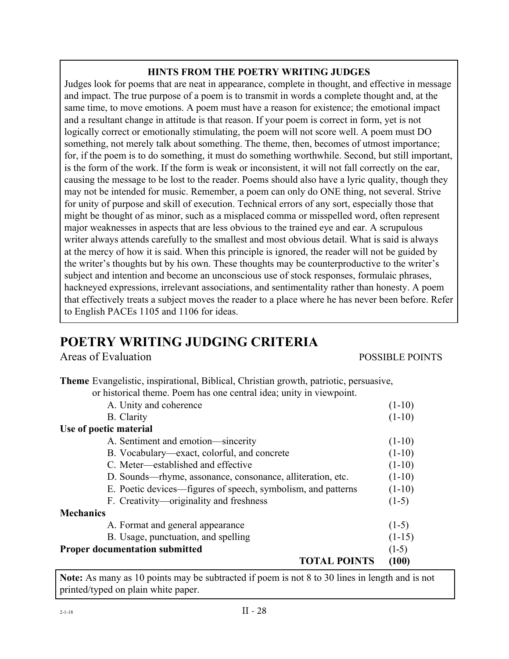### **HINTS FROM THE POETRY WRITING JUDGES**

Judges look for poems that are neat in appearance, complete in thought, and effective in message and impact. The true purpose of a poem is to transmit in words a complete thought and, at the same time, to move emotions. A poem must have a reason for existence; the emotional impact and a resultant change in attitude is that reason. If your poem is correct in form, yet is not logically correct or emotionally stimulating, the poem will not score well. A poem must DO something, not merely talk about something. The theme, then, becomes of utmost importance; for, if the poem is to do something, it must do something worthwhile. Second, but still important, is the form of the work. If the form is weak or inconsistent, it will not fall correctly on the ear, causing the message to be lost to the reader. Poems should also have a lyric quality, though they may not be intended for music. Remember, a poem can only do ONE thing, not several. Strive for unity of purpose and skill of execution. Technical errors of any sort, especially those that might be thought of as minor, such as a misplaced comma or misspelled word, often represent major weaknesses in aspects that are less obvious to the trained eye and ear. A scrupulous writer always attends carefully to the smallest and most obvious detail. What is said is always at the mercy of how it is said. When this principle is ignored, the reader will not be guided by the writer's thoughts but by his own. These thoughts may be counterproductive to the writer's subject and intention and become an unconscious use of stock responses, formulaic phrases, hackneyed expressions, irrelevant associations, and sentimentality rather than honesty. A poem that effectively treats a subject moves the reader to a place where he has never been before. Refer to English PACEs 1105 and 1106 for ideas.

## **POETRY WRITING JUDGING CRITERIA**

Areas of Evaluation **POSSIBLE POINTS** 

| Theme Evangelistic, inspirational, Biblical, Christian growth, patriotic, persuasive, |          |
|---------------------------------------------------------------------------------------|----------|
| or historical theme. Poem has one central idea; unity in viewpoint.                   |          |
| A. Unity and coherence                                                                | $(1-10)$ |
| <b>B.</b> Clarity                                                                     | $(1-10)$ |
| Use of poetic material                                                                |          |
| A. Sentiment and emotion—sincerity                                                    | $(1-10)$ |
| B. Vocabulary—exact, colorful, and concrete                                           | $(1-10)$ |
| C. Meter—established and effective                                                    | $(1-10)$ |
| D. Sounds—rhyme, assonance, consonance, alliteration, etc.                            | $(1-10)$ |
| E. Poetic devices—figures of speech, symbolism, and patterns                          | $(1-10)$ |
| F. Creativity—originality and freshness                                               | $(1-5)$  |
| <b>Mechanics</b>                                                                      |          |
| A. Format and general appearance                                                      | $(1-5)$  |
| B. Usage, punctuation, and spelling                                                   | $(1-15)$ |
| <b>Proper documentation submitted</b>                                                 | $(1-5)$  |
| <b>TOTAL POINTS</b>                                                                   | (100)    |
|                                                                                       |          |

**Note:** As many as 10 points may be subtracted if poem is not 8 to 30 lines in length and is not printed/typed on plain white paper.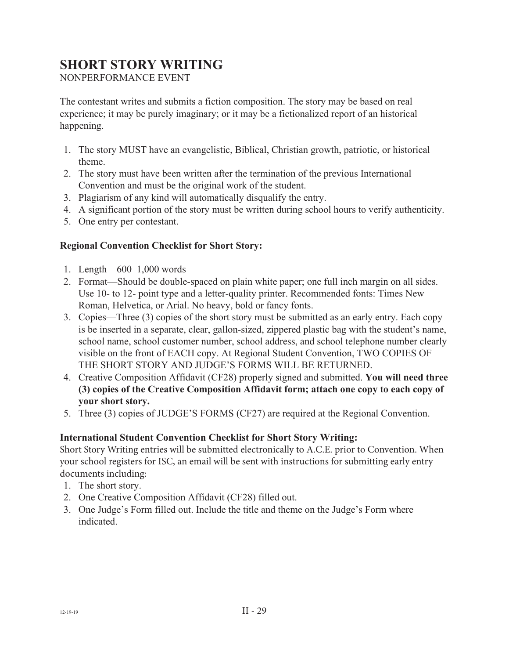## **SHORT STORY WRITING**

NONPERFORMANCE EVENT

The contestant writes and submits a fiction composition. The story may be based on real experience; it may be purely imaginary; or it may be a fictionalized report of an historical happening.

- 1. The story MUST have an evangelistic, Biblical, Christian growth, patriotic, or historical theme.
- 2. The story must have been written after the termination of the previous International Convention and must be the original work of the student.
- 3. Plagiarism of any kind will automatically disqualify the entry.
- 4. A significant portion of the story must be written during school hours to verify authenticity.
- 5. One entry per contestant.

### **Regional Convention Checklist for Short Story:**

- 1. Length—600–1,000 words
- 2. Format—Should be double-spaced on plain white paper; one full inch margin on all sides. Use 10- to 12- point type and a letter-quality printer. Recommended fonts: Times New Roman, Helvetica, or Arial. No heavy, bold or fancy fonts.
- 3. Copies—Three (3) copies of the short story must be submitted as an early entry. Each copy is be inserted in a separate, clear, gallon-sized, zippered plastic bag with the student's name, school name, school customer number, school address, and school telephone number clearly visible on the front of EACH copy. At Regional Student Convention, TWO COPIES OF THE SHORT STORY AND JUDGE'S FORMS WILL BE RETURNED.
- 4. Creative Composition Affidavit (CF28) properly signed and submitted. **You will need three (3) copies of the Creative Composition Affidavit form; attach one copy to each copy of your short story.**
- 5. Three (3) copies of JUDGE'S FORMS (CF27) are required at the Regional Convention.

### **International Student Convention Checklist for Short Story Writing:**

Short Story Writing entries will be submitted electronically to A.C.E. prior to Convention. When your school registers for ISC, an email will be sent with instructions for submitting early entry documents including:

- 1. The short story.
- 2. One Creative Composition Affidavit (CF28) filled out.
- 3. One Judge's Form filled out. Include the title and theme on the Judge's Form where indicated.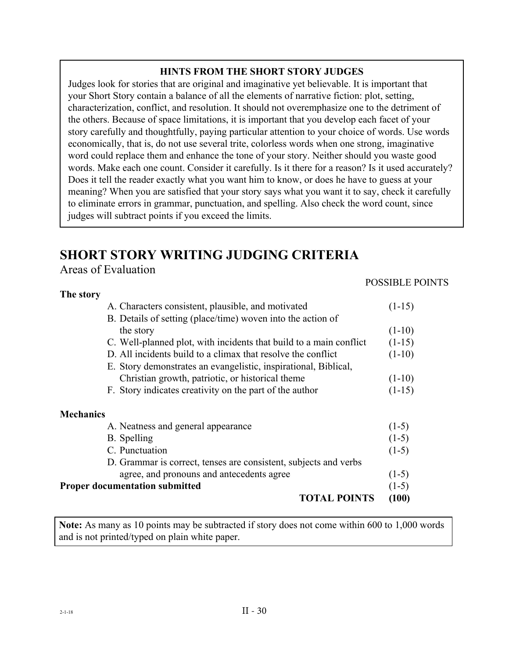### **HINTS FROM THE SHORT STORY JUDGES**

Judges look for stories that are original and imaginative yet believable. It is important that your Short Story contain a balance of all the elements of narrative fiction: plot, setting, characterization, conflict, and resolution. It should not overemphasize one to the detriment of the others. Because of space limitations, it is important that you develop each facet of your story carefully and thoughtfully, paying particular attention to your choice of words. Use words economically, that is, do not use several trite, colorless words when one strong, imaginative word could replace them and enhance the tone of your story. Neither should you waste good words. Make each one count. Consider it carefully. Is it there for a reason? Is it used accurately? Does it tell the reader exactly what you want him to know, or does he have to guess at your meaning? When you are satisfied that your story says what you want it to say, check it carefully to eliminate errors in grammar, punctuation, and spelling. Also check the word count, since judges will subtract points if you exceed the limits.

## **SHORT STORY WRITING JUDGING CRITERIA**

Areas of Evaluation

### POSSIBLE POINTS

| The story                                                          |          |
|--------------------------------------------------------------------|----------|
| A. Characters consistent, plausible, and motivated                 | $(1-15)$ |
| B. Details of setting (place/time) woven into the action of        |          |
| the story                                                          | $(1-10)$ |
| C. Well-planned plot, with incidents that build to a main conflict | $(1-15)$ |
| D. All incidents build to a climax that resolve the conflict       | $(1-10)$ |
| E. Story demonstrates an evangelistic, inspirational, Biblical,    |          |
| Christian growth, patriotic, or historical theme                   | $(1-10)$ |
| F. Story indicates creativity on the part of the author            | $(1-15)$ |
| <b>Mechanics</b>                                                   |          |
| A. Neatness and general appearance                                 | $(1-5)$  |
| B. Spelling                                                        | $(1-5)$  |
| C. Punctuation                                                     | $(1-5)$  |
| D. Grammar is correct, tenses are consistent, subjects and verbs   |          |
| agree, and pronouns and antecedents agree                          | $(1-5)$  |
| <b>Proper documentation submitted</b>                              | $(1-5)$  |
| <b>TOTAL POINTS</b>                                                | (100)    |

**Note:** As many as 10 points may be subtracted if story does not come within 600 to 1,000 words and is not printed/typed on plain white paper.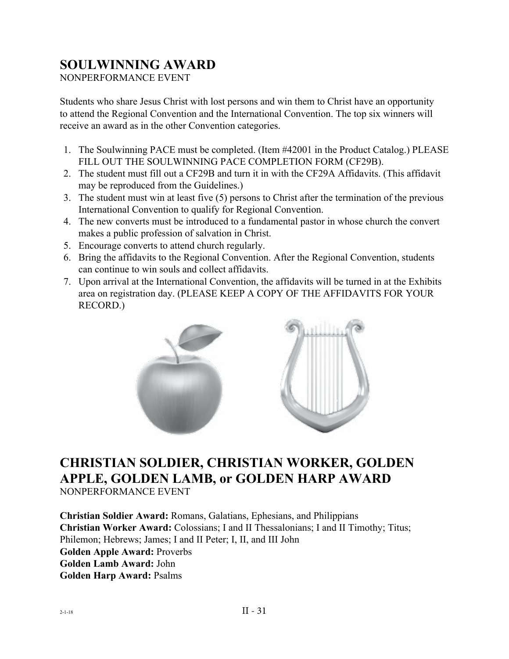## **SOULWINNING AWARD**

NONPERFORMANCE EVENT

Students who share Jesus Christ with lost persons and win them to Christ have an opportunity to attend the Regional Convention and the International Convention. The top six winners will receive an award as in the other Convention categories.

- 1. The Soulwinning PACE must be completed. (Item #42001 in the Product Catalog.) PLEASE FILL OUT THE SOULWINNING PACE COMPLETION FORM (CF29B).
- 2. The student must fill out a CF29B and turn it in with the CF29A Affidavits. (This affidavit may be reproduced from the Guidelines.)
- 3. The student must win at least five (5) persons to Christ after the termination of the previous International Convention to qualify for Regional Convention.
- 4. The new converts must be introduced to a fundamental pastor in whose church the convert makes a public profession of salvation in Christ.
- 5. Encourage converts to attend church regularly.
- 6. Bring the affidavits to the Regional Convention. After the Regional Convention, students can continue to win souls and collect affidavits.
- 7. Upon arrival at the International Convention, the affidavits will be turned in at the Exhibits area on registration day. (PLEASE KEEP A COPY OF THE AFFIDAVITS FOR YOUR RECORD.)



## **CHRISTIAN SOLDIER, CHRISTIAN WORKER, GOLDEN APPLE, GOLDEN LAMB, or GOLDEN HARP AWARD**

NONPERFORMANCE EVENT

**Christian Soldier Award:** Romans, Galatians, Ephesians, and Philippians **Christian Worker Award:** Colossians; I and II Thessalonians; I and II Timothy; Titus; Philemon; Hebrews; James; I and II Peter; I, II, and III John **Golden Apple Award:** Proverbs **Golden Lamb Award:** John **Golden Harp Award:** Psalms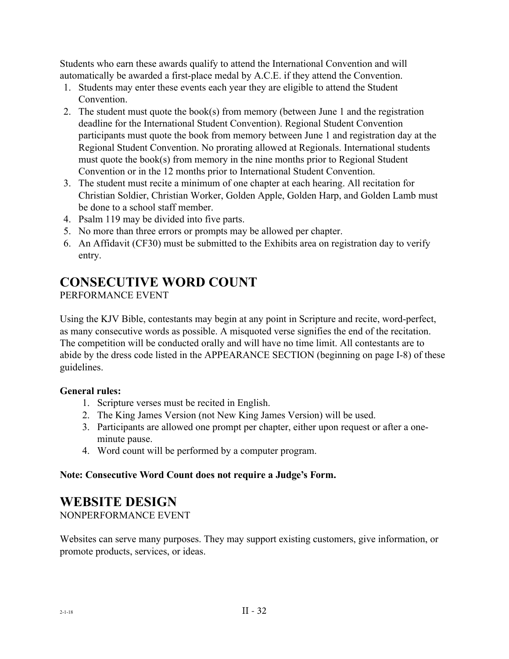Students who earn these awards qualify to attend the International Convention and will automatically be awarded a first-place medal by A.C.E. if they attend the Convention.

- 1. Students may enter these events each year they are eligible to attend the Student Convention.
- 2. The student must quote the book(s) from memory (between June 1 and the registration deadline for the International Student Convention). Regional Student Convention participants must quote the book from memory between June 1 and registration day at the Regional Student Convention. No prorating allowed at Regionals. International students must quote the book(s) from memory in the nine months prior to Regional Student Convention or in the 12 months prior to International Student Convention.
- 3. The student must recite a minimum of one chapter at each hearing. All recitation for Christian Soldier, Christian Worker, Golden Apple, Golden Harp, and Golden Lamb must be done to a school staff member.
- 4. Psalm 119 may be divided into five parts.
- 5. No more than three errors or prompts may be allowed per chapter.
- 6. An Affidavit (CF30) must be submitted to the Exhibits area on registration day to verify entry.

### **CONSECUTIVE WORD COUNT**

PERFORMANCE EVENT

Using the KJV Bible, contestants may begin at any point in Scripture and recite, word-perfect, as many consecutive words as possible. A misquoted verse signifies the end of the recitation. The competition will be conducted orally and will have no time limit. All contestants are to abide by the dress code listed in the APPEARANCE SECTION (beginning on page I-8) of these guidelines.

### **General rules:**

- 1. Scripture verses must be recited in English.
- 2. The King James Version (not New King James Version) will be used.
- 3. Participants are allowed one prompt per chapter, either upon request or after a oneminute pause.
- 4. Word count will be performed by a computer program.

### **Note: Consecutive Word Count does not require a Judge's Form.**

### **WEBSITE DESIGN**

NONPERFORMANCE EVENT

Websites can serve many purposes. They may support existing customers, give information, or promote products, services, or ideas.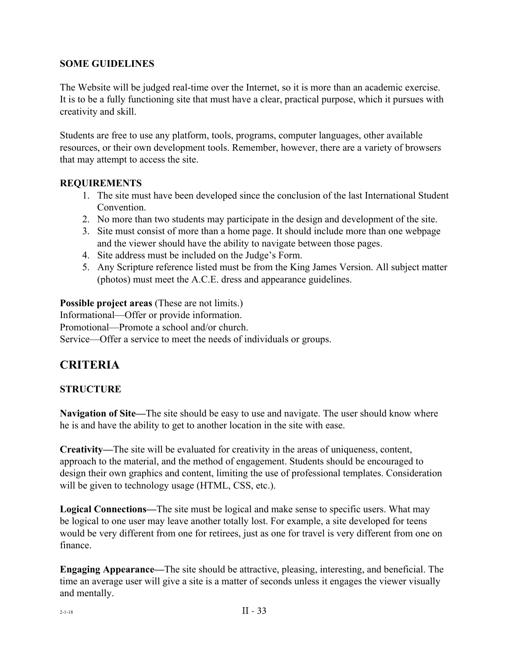### **SOME GUIDELINES**

The Website will be judged real-time over the Internet, so it is more than an academic exercise. It is to be a fully functioning site that must have a clear, practical purpose, which it pursues with creativity and skill.

Students are free to use any platform, tools, programs, computer languages, other available resources, or their own development tools. Remember, however, there are a variety of browsers that may attempt to access the site.

### **REQUIREMENTS**

- 1. The site must have been developed since the conclusion of the last International Student Convention.
- 2. No more than two students may participate in the design and development of the site.
- 3. Site must consist of more than a home page. It should include more than one webpage and the viewer should have the ability to navigate between those pages.
- 4. Site address must be included on the Judge's Form.
- 5. Any Scripture reference listed must be from the King James Version. All subject matter (photos) must meet the A.C.E. dress and appearance guidelines.

**Possible project areas** (These are not limits.) Informational—Offer or provide information. Promotional—Promote a school and/or church. Service—Offer a service to meet the needs of individuals or groups.

### **CRITERIA**

### **STRUCTURE**

**Navigation of Site—**The site should be easy to use and navigate. The user should know where he is and have the ability to get to another location in the site with ease.

**Creativity—**The site will be evaluated for creativity in the areas of uniqueness, content, approach to the material, and the method of engagement. Students should be encouraged to design their own graphics and content, limiting the use of professional templates. Consideration will be given to technology usage (HTML, CSS, etc.).

**Logical Connections—**The site must be logical and make sense to specific users. What may be logical to one user may leave another totally lost. For example, a site developed for teens would be very different from one for retirees, just as one for travel is very different from one on finance.

**Engaging Appearance—**The site should be attractive, pleasing, interesting, and beneficial. The time an average user will give a site is a matter of seconds unless it engages the viewer visually and mentally.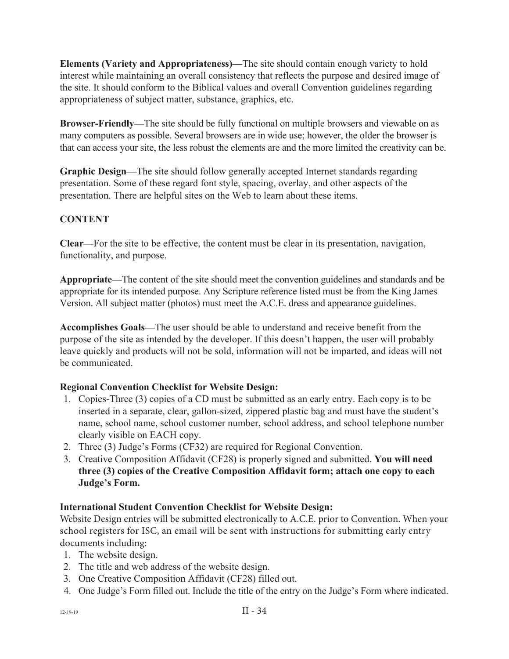**Elements (Variety and Appropriateness)—**The site should contain enough variety to hold interest while maintaining an overall consistency that reflects the purpose and desired image of the site. It should conform to the Biblical values and overall Convention guidelines regarding appropriateness of subject matter, substance, graphics, etc.

**Browser-Friendly—**The site should be fully functional on multiple browsers and viewable on as many computers as possible. Several browsers are in wide use; however, the older the browser is that can access your site, the less robust the elements are and the more limited the creativity can be.

**Graphic Design—**The site should follow generally accepted Internet standards regarding presentation. Some of these regard font style, spacing, overlay, and other aspects of the presentation. There are helpful sites on the Web to learn about these items.

### **CONTENT**

**Clear—**For the site to be effective, the content must be clear in its presentation, navigation, functionality, and purpose.

**Appropriate—**The content of the site should meet the convention guidelines and standards and be appropriate for its intended purpose. Any Scripture reference listed must be from the King James Version. All subject matter (photos) must meet the A.C.E. dress and appearance guidelines.

**Accomplishes Goals—**The user should be able to understand and receive benefit from the purpose of the site as intended by the developer. If this doesn't happen, the user will probably leave quickly and products will not be sold, information will not be imparted, and ideas will not be communicated.

### **Regional Convention Checklist for Website Design:**

- 1. Copies-Three (3) copies of a CD must be submitted as an early entry. Each copy is to be inserted in a separate, clear, gallon-sized, zippered plastic bag and must have the student's name, school name, school customer number, school address, and school telephone number clearly visible on EACH copy.
- 2. Three (3) Judge's Forms (CF32) are required for Regional Convention.
- 3. Creative Composition Affidavit (CF28) is properly signed and submitted. **You will need three (3) copies of the Creative Composition Affidavit form; attach one copy to each Judge's Form.**

### **International Student Convention Checklist for Website Design:**

Website Design entries will be submitted electronically to A.C.E. prior to Convention. When your school registers for ISC, an email will be sent with instructions for submitting early entry documents including:

- 1. The website design.
- 2. The title and web address of the website design.
- 3. One Creative Composition Affidavit (CF28) filled out.
- 4. One Judge's Form filled out. Include the title of the entry on the Judge's Form where indicated.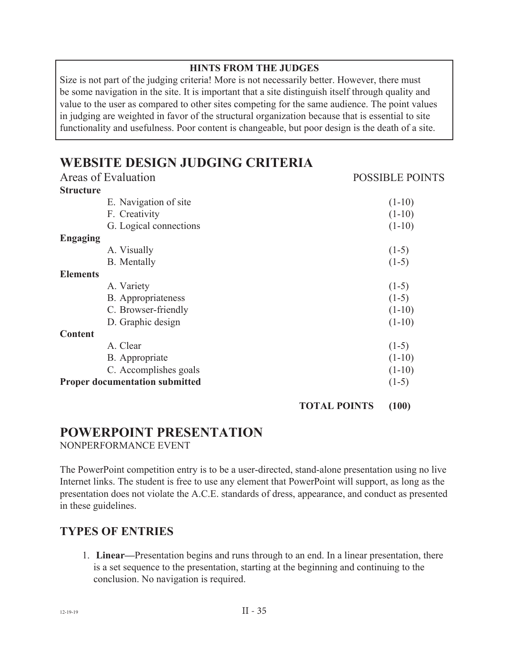### **HINTS FROM THE JUDGES**

Size is not part of the judging criteria! More is not necessarily better. However, there must be some navigation in the site. It is important that a site distinguish itself through quality and value to the user as compared to other sites competing for the same audience. The point values in judging are weighted in favor of the structural organization because that is essential to site functionality and usefulness. Poor content is changeable, but poor design is the death of a site.

## **WEBSITE DESIGN JUDGING CRITERIA**

| Areas of Evaluation                   | <b>POSSIBLE POINTS</b> |
|---------------------------------------|------------------------|
| <b>Structure</b>                      |                        |
| E. Navigation of site                 | $(1-10)$               |
| F. Creativity                         | $(1-10)$               |
| G. Logical connections                | $(1-10)$               |
| <b>Engaging</b>                       |                        |
| A. Visually                           | $(1-5)$                |
| <b>B.</b> Mentally                    | $(1-5)$                |
| <b>Elements</b>                       |                        |
| A. Variety                            | $(1-5)$                |
| B. Appropriateness                    | $(1-5)$                |
| C. Browser-friendly                   | $(1-10)$               |
| D. Graphic design                     | $(1-10)$               |
| <b>Content</b>                        |                        |
| A. Clear                              | $(1-5)$                |
| B. Appropriate                        | $(1-10)$               |
| C. Accomplishes goals                 | $(1-10)$               |
| <b>Proper documentation submitted</b> | $(1-5)$                |
|                                       |                        |

#### **TOTAL POINTS (100)**

## **POWERPOINT PRESENTATION**

NONPERFORMANCE EVENT

The PowerPoint competition entry is to be a user-directed, stand-alone presentation using no live Internet links. The student is free to use any element that PowerPoint will support, as long as the presentation does not violate the A.C.E. standards of dress, appearance, and conduct as presented in these guidelines.

### **TYPES OF ENTRIES**

1. **Linear—**Presentation begins and runs through to an end. In a linear presentation, there is a set sequence to the presentation, starting at the beginning and continuing to the conclusion. No navigation is required.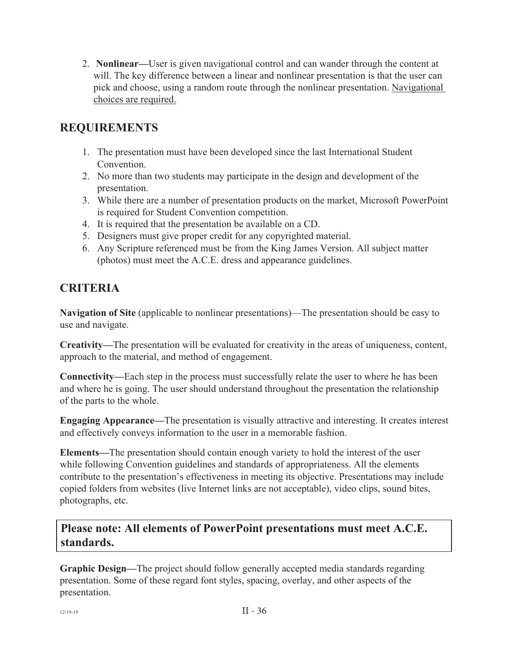2. **Nonlinear—**User is given navigational control and can wander through the content at will. The key difference between a linear and nonlinear presentation is that the user can pick and choose, using a random route through the nonlinear presentation. Navigational choices are required.

### **REQUIREMENTS**

- 1. The presentation must have been developed since the last International Student Convention.
- 2. No more than two students may participate in the design and development of the presentation.
- 3. While there are a number of presentation products on the market, Microsoft PowerPoint is required for Student Convention competition.
- 4. It is required that the presentation be available on a CD.
- 5. Designers must give proper credit for any copyrighted material.
- 6. Any Scripture referenced must be from the King James Version. All subject matter (photos) must meet the A.C.E. dress and appearance guidelines.

### **CRITERIA**

**Navigation of Site** (applicable to nonlinear presentations)—The presentation should be easy to use and navigate.

**Creativity—**The presentation will be evaluated for creativity in the areas of uniqueness, content, approach to the material, and method of engagement.

**Connectivity—**Each step in the process must successfully relate the user to where he has been and where he is going. The user should understand throughout the presentation the relationship of the parts to the whole.

**Engaging Appearance—**The presentation is visually attractive and interesting. It creates interest and effectively conveys information to the user in a memorable fashion.

**Elements—**The presentation should contain enough variety to hold the interest of the user while following Convention guidelines and standards of appropriateness. All the elements contribute to the presentation's effectiveness in meeting its objective. Presentations may include copied folders from websites (live Internet links are not acceptable), video clips, sound bites, photographs, etc.

### **Please note: All elements of PowerPoint presentations must meet A.C.E. standards.**

**Graphic Design—**The project should follow generally accepted media standards regarding presentation. Some of these regard font styles, spacing, overlay, and other aspects of the presentation.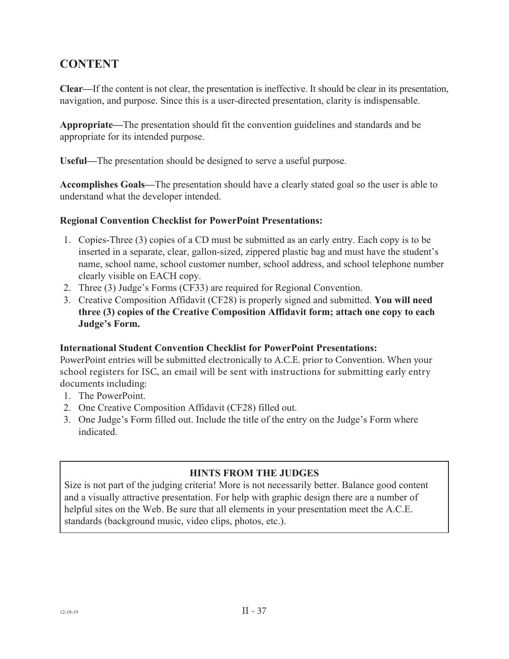### **CONTENT**

**Clear—**If the content is not clear, the presentation is ineffective. It should be clear in its presentation, navigation, and purpose. Since this is a user-directed presentation, clarity is indispensable.

**Appropriate—**The presentation should fit the convention guidelines and standards and be appropriate for its intended purpose.

**Useful—**The presentation should be designed to serve a useful purpose.

**Accomplishes Goals—**The presentation should have a clearly stated goal so the user is able to understand what the developer intended.

### **Regional Convention Checklist for PowerPoint Presentations:**

- 1. Copies-Three (3) copies of a CD must be submitted as an early entry. Each copy is to be inserted in a separate, clear, gallon-sized, zippered plastic bag and must have the student's name, school name, school customer number, school address, and school telephone number clearly visible on EACH copy.
- 2. Three (3) Judge's Forms (CF33) are required for Regional Convention.
- 3. Creative Composition Affidavit (CF28) is properly signed and submitted. **You will need three (3) copies of the Creative Composition Affidavit form; attach one copy to each Judge's Form.**

### **International Student Convention Checklist for PowerPoint Presentations:**

PowerPoint entries will be submitted electronically to A.C.E. prior to Convention. When your school registers for ISC, an email will be sent with instructions for submitting early entry documents including:

- 1. The PowerPoint.
- 2. One Creative Composition Affidavit (CF28) filled out.
- 3. One Judge's Form filled out. Include the title of the entry on the Judge's Form where indicated.

### **HINTS FROM THE JUDGES**

Size is not part of the judging criteria! More is not necessarily better. Balance good content and a visually attractive presentation. For help with graphic design there are a number of helpful sites on the Web. Be sure that all elements in your presentation meet the A.C.E. standards (background music, video clips, photos, etc.).